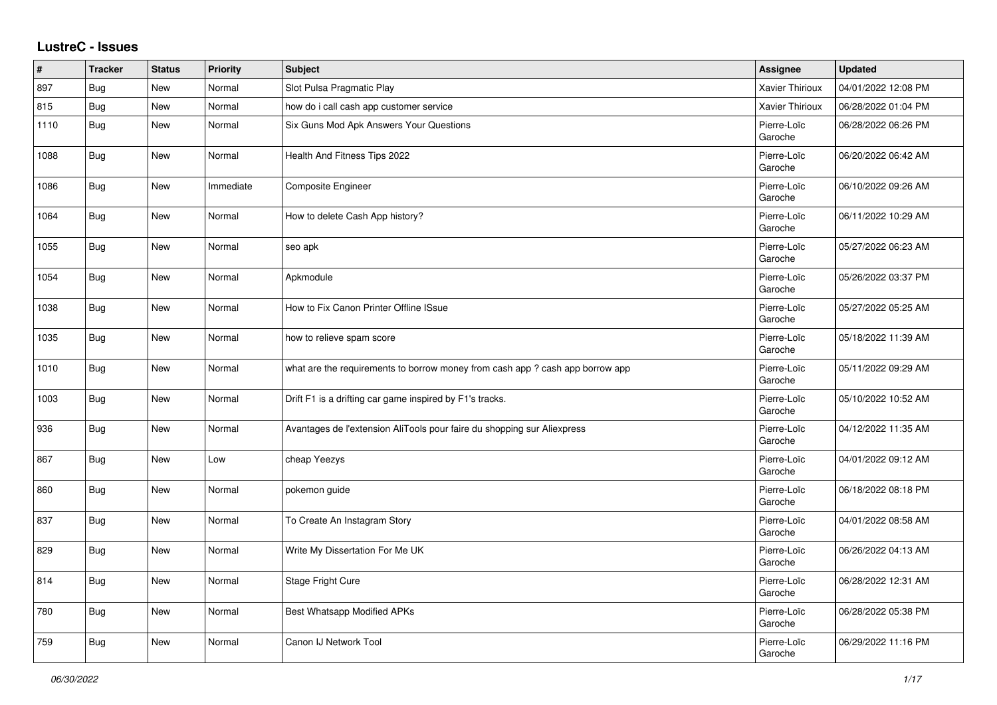## **LustreC - Issues**

| $\vert$ # | <b>Tracker</b> | <b>Status</b> | <b>Priority</b> | <b>Subject</b>                                                                | Assignee               | <b>Updated</b>      |
|-----------|----------------|---------------|-----------------|-------------------------------------------------------------------------------|------------------------|---------------------|
| 897       | Bug            | New           | Normal          | Slot Pulsa Pragmatic Play                                                     | <b>Xavier Thirioux</b> | 04/01/2022 12:08 PM |
| 815       | <b>Bug</b>     | <b>New</b>    | Normal          | how do i call cash app customer service                                       | Xavier Thirioux        | 06/28/2022 01:04 PM |
| 1110      | <b>Bug</b>     | New           | Normal          | Six Guns Mod Apk Answers Your Questions                                       | Pierre-Loïc<br>Garoche | 06/28/2022 06:26 PM |
| 1088      | <b>Bug</b>     | <b>New</b>    | Normal          | Health And Fitness Tips 2022                                                  | Pierre-Loïc<br>Garoche | 06/20/2022 06:42 AM |
| 1086      | <b>Bug</b>     | New           | Immediate       | Composite Engineer                                                            | Pierre-Loïc<br>Garoche | 06/10/2022 09:26 AM |
| 1064      | Bug            | <b>New</b>    | Normal          | How to delete Cash App history?                                               | Pierre-Loïc<br>Garoche | 06/11/2022 10:29 AM |
| 1055      | <b>Bug</b>     | <b>New</b>    | Normal          | seo apk                                                                       | Pierre-Loïc<br>Garoche | 05/27/2022 06:23 AM |
| 1054      | Bug            | New           | Normal          | Apkmodule                                                                     | Pierre-Loïc<br>Garoche | 05/26/2022 03:37 PM |
| 1038      | <b>Bug</b>     | <b>New</b>    | Normal          | How to Fix Canon Printer Offline ISsue                                        | Pierre-Loïc<br>Garoche | 05/27/2022 05:25 AM |
| 1035      | <b>Bug</b>     | <b>New</b>    | Normal          | how to relieve spam score                                                     | Pierre-Loïc<br>Garoche | 05/18/2022 11:39 AM |
| 1010      | Bug            | New           | Normal          | what are the requirements to borrow money from cash app ? cash app borrow app | Pierre-Loïc<br>Garoche | 05/11/2022 09:29 AM |
| 1003      | <b>Bug</b>     | New           | Normal          | Drift F1 is a drifting car game inspired by F1's tracks.                      | Pierre-Loïc<br>Garoche | 05/10/2022 10:52 AM |
| 936       | <b>Bug</b>     | <b>New</b>    | Normal          | Avantages de l'extension AliTools pour faire du shopping sur Aliexpress       | Pierre-Loïc<br>Garoche | 04/12/2022 11:35 AM |
| 867       | <b>Bug</b>     | <b>New</b>    | Low             | cheap Yeezys                                                                  | Pierre-Loïc<br>Garoche | 04/01/2022 09:12 AM |
| 860       | Bug            | <b>New</b>    | Normal          | pokemon guide                                                                 | Pierre-Loïc<br>Garoche | 06/18/2022 08:18 PM |
| 837       | <b>Bug</b>     | <b>New</b>    | Normal          | To Create An Instagram Story                                                  | Pierre-Loïc<br>Garoche | 04/01/2022 08:58 AM |
| 829       | Bug            | New           | Normal          | Write My Dissertation For Me UK                                               | Pierre-Loïc<br>Garoche | 06/26/2022 04:13 AM |
| 814       | Bug            | New           | Normal          | <b>Stage Fright Cure</b>                                                      | Pierre-Loïc<br>Garoche | 06/28/2022 12:31 AM |
| 780       | Bug            | New           | Normal          | Best Whatsapp Modified APKs                                                   | Pierre-Loïc<br>Garoche | 06/28/2022 05:38 PM |
| 759       | <b>Bug</b>     | New           | Normal          | Canon IJ Network Tool                                                         | Pierre-Loïc<br>Garoche | 06/29/2022 11:16 PM |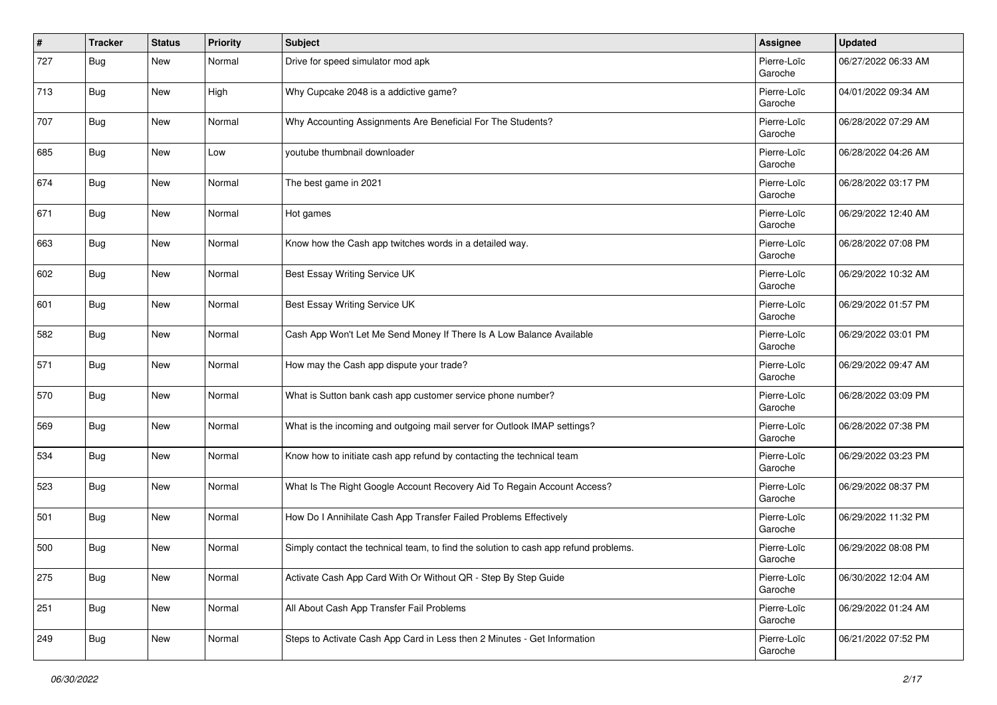| #   | <b>Tracker</b> | <b>Status</b> | <b>Priority</b> | <b>Subject</b>                                                                       | <b>Assignee</b>        | <b>Updated</b>      |
|-----|----------------|---------------|-----------------|--------------------------------------------------------------------------------------|------------------------|---------------------|
| 727 | <b>Bug</b>     | New           | Normal          | Drive for speed simulator mod apk                                                    | Pierre-Loïc<br>Garoche | 06/27/2022 06:33 AM |
| 713 | Bug            | New           | High            | Why Cupcake 2048 is a addictive game?                                                | Pierre-Loïc<br>Garoche | 04/01/2022 09:34 AM |
| 707 | Bug            | <b>New</b>    | Normal          | Why Accounting Assignments Are Beneficial For The Students?                          | Pierre-Loïc<br>Garoche | 06/28/2022 07:29 AM |
| 685 | Bug            | <b>New</b>    | Low             | youtube thumbnail downloader                                                         | Pierre-Loïc<br>Garoche | 06/28/2022 04:26 AM |
| 674 | Bug            | <b>New</b>    | Normal          | The best game in 2021                                                                | Pierre-Loïc<br>Garoche | 06/28/2022 03:17 PM |
| 671 | Bug            | <b>New</b>    | Normal          | Hot games                                                                            | Pierre-Loïc<br>Garoche | 06/29/2022 12:40 AM |
| 663 | Bug            | <b>New</b>    | Normal          | Know how the Cash app twitches words in a detailed way.                              | Pierre-Loïc<br>Garoche | 06/28/2022 07:08 PM |
| 602 | Bug            | New           | Normal          | Best Essay Writing Service UK                                                        | Pierre-Loïc<br>Garoche | 06/29/2022 10:32 AM |
| 601 | Bug            | <b>New</b>    | Normal          | Best Essay Writing Service UK                                                        | Pierre-Loïc<br>Garoche | 06/29/2022 01:57 PM |
| 582 | Bug            | <b>New</b>    | Normal          | Cash App Won't Let Me Send Money If There Is A Low Balance Available                 | Pierre-Loïc<br>Garoche | 06/29/2022 03:01 PM |
| 571 | Bug            | <b>New</b>    | Normal          | How may the Cash app dispute your trade?                                             | Pierre-Loïc<br>Garoche | 06/29/2022 09:47 AM |
| 570 | Bug            | <b>New</b>    | Normal          | What is Sutton bank cash app customer service phone number?                          | Pierre-Loïc<br>Garoche | 06/28/2022 03:09 PM |
| 569 | Bug            | <b>New</b>    | Normal          | What is the incoming and outgoing mail server for Outlook IMAP settings?             | Pierre-Loïc<br>Garoche | 06/28/2022 07:38 PM |
| 534 | Bug            | <b>New</b>    | Normal          | Know how to initiate cash app refund by contacting the technical team                | Pierre-Loïc<br>Garoche | 06/29/2022 03:23 PM |
| 523 | Bug            | New           | Normal          | What Is The Right Google Account Recovery Aid To Regain Account Access?              | Pierre-Loïc<br>Garoche | 06/29/2022 08:37 PM |
| 501 | Bug            | <b>New</b>    | Normal          | How Do I Annihilate Cash App Transfer Failed Problems Effectively                    | Pierre-Loïc<br>Garoche | 06/29/2022 11:32 PM |
| 500 | Bug            | <b>New</b>    | Normal          | Simply contact the technical team, to find the solution to cash app refund problems. | Pierre-Loïc<br>Garoche | 06/29/2022 08:08 PM |
| 275 | Bug            | New           | Normal          | Activate Cash App Card With Or Without QR - Step By Step Guide                       | Pierre-Loïc<br>Garoche | 06/30/2022 12:04 AM |
| 251 | <b>Bug</b>     | New           | Normal          | All About Cash App Transfer Fail Problems                                            | Pierre-Loïc<br>Garoche | 06/29/2022 01:24 AM |
| 249 | <b>Bug</b>     | New           | Normal          | Steps to Activate Cash App Card in Less then 2 Minutes - Get Information             | Pierre-Loïc<br>Garoche | 06/21/2022 07:52 PM |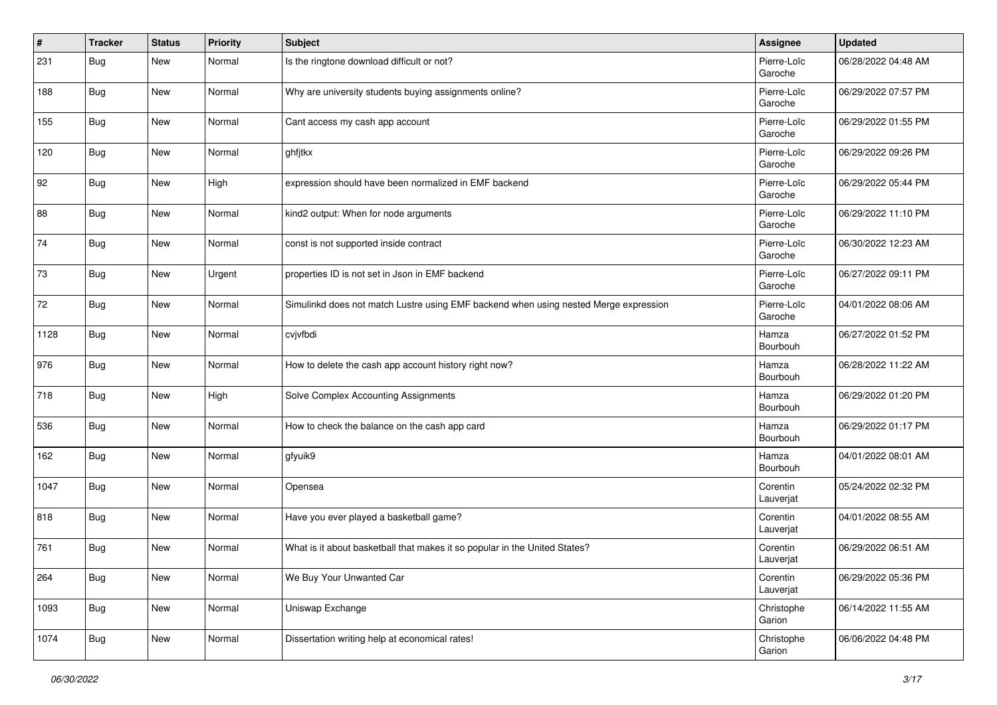| #    | <b>Tracker</b> | <b>Status</b> | <b>Priority</b> | <b>Subject</b>                                                                       | <b>Assignee</b>        | <b>Updated</b>      |
|------|----------------|---------------|-----------------|--------------------------------------------------------------------------------------|------------------------|---------------------|
| 231  | Bug            | New           | Normal          | Is the ringtone download difficult or not?                                           | Pierre-Loïc<br>Garoche | 06/28/2022 04:48 AM |
| 188  | Bug            | <b>New</b>    | Normal          | Why are university students buying assignments online?                               | Pierre-Loïc<br>Garoche | 06/29/2022 07:57 PM |
| 155  | Bug            | <b>New</b>    | Normal          | Cant access my cash app account                                                      | Pierre-Loïc<br>Garoche | 06/29/2022 01:55 PM |
| 120  | Bug            | <b>New</b>    | Normal          | ghfjtkx                                                                              | Pierre-Loïc<br>Garoche | 06/29/2022 09:26 PM |
| 92   | Bug            | <b>New</b>    | High            | expression should have been normalized in EMF backend                                | Pierre-Loïc<br>Garoche | 06/29/2022 05:44 PM |
| 88   | Bug            | <b>New</b>    | Normal          | kind2 output: When for node arguments                                                | Pierre-Loïc<br>Garoche | 06/29/2022 11:10 PM |
| 74   | Bug            | <b>New</b>    | Normal          | const is not supported inside contract                                               | Pierre-Loïc<br>Garoche | 06/30/2022 12:23 AM |
| 73   | Bug            | New           | Urgent          | properties ID is not set in Json in EMF backend                                      | Pierre-Loïc<br>Garoche | 06/27/2022 09:11 PM |
| 72   | Bug            | <b>New</b>    | Normal          | Simulinkd does not match Lustre using EMF backend when using nested Merge expression | Pierre-Loïc<br>Garoche | 04/01/2022 08:06 AM |
| 1128 | Bug            | <b>New</b>    | Normal          | cvjvfbdi                                                                             | Hamza<br>Bourbouh      | 06/27/2022 01:52 PM |
| 976  | Bug            | <b>New</b>    | Normal          | How to delete the cash app account history right now?                                | Hamza<br>Bourbouh      | 06/28/2022 11:22 AM |
| 718  | Bug            | <b>New</b>    | High            | Solve Complex Accounting Assignments                                                 | Hamza<br>Bourbouh      | 06/29/2022 01:20 PM |
| 536  | Bug            | <b>New</b>    | Normal          | How to check the balance on the cash app card                                        | Hamza<br>Bourbouh      | 06/29/2022 01:17 PM |
| 162  | Bug            | New           | Normal          | gfyuik9                                                                              | Hamza<br>Bourbouh      | 04/01/2022 08:01 AM |
| 1047 | Bug            | New           | Normal          | Opensea                                                                              | Corentin<br>Lauverjat  | 05/24/2022 02:32 PM |
| 818  | <b>Bug</b>     | <b>New</b>    | Normal          | Have you ever played a basketball game?                                              | Corentin<br>Lauverjat  | 04/01/2022 08:55 AM |
| 761  | Bug            | <b>New</b>    | Normal          | What is it about basketball that makes it so popular in the United States?           | Corentin<br>Lauverjat  | 06/29/2022 06:51 AM |
| 264  | <b>Bug</b>     | New           | Normal          | We Buy Your Unwanted Car                                                             | Corentin<br>Lauverjat  | 06/29/2022 05:36 PM |
| 1093 | <b>Bug</b>     | <b>New</b>    | Normal          | Uniswap Exchange                                                                     | Christophe<br>Garion   | 06/14/2022 11:55 AM |
| 1074 | <b>Bug</b>     | New           | Normal          | Dissertation writing help at economical rates!                                       | Christophe<br>Garion   | 06/06/2022 04:48 PM |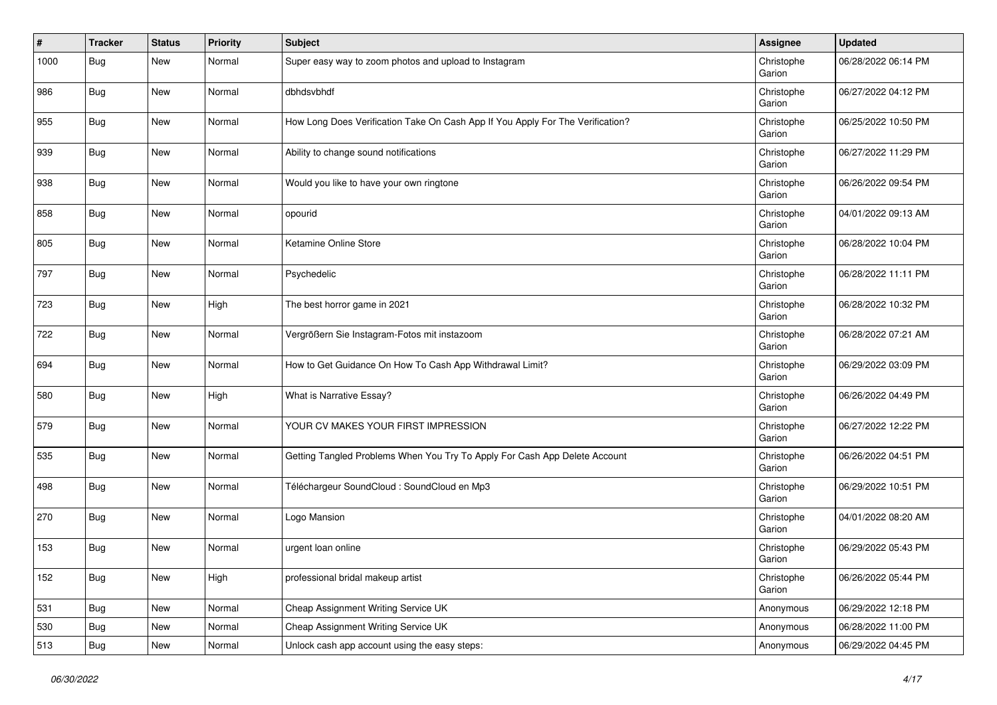| #    | <b>Tracker</b> | <b>Status</b> | <b>Priority</b> | <b>Subject</b>                                                                 | <b>Assignee</b>      | <b>Updated</b>      |
|------|----------------|---------------|-----------------|--------------------------------------------------------------------------------|----------------------|---------------------|
| 1000 | <b>Bug</b>     | New           | Normal          | Super easy way to zoom photos and upload to Instagram                          | Christophe<br>Garion | 06/28/2022 06:14 PM |
| 986  | <b>Bug</b>     | New           | Normal          | dbhdsvbhdf                                                                     | Christophe<br>Garion | 06/27/2022 04:12 PM |
| 955  | Bug            | <b>New</b>    | Normal          | How Long Does Verification Take On Cash App If You Apply For The Verification? | Christophe<br>Garion | 06/25/2022 10:50 PM |
| 939  | <b>Bug</b>     | New           | Normal          | Ability to change sound notifications                                          | Christophe<br>Garion | 06/27/2022 11:29 PM |
| 938  | Bug            | <b>New</b>    | Normal          | Would you like to have your own ringtone                                       | Christophe<br>Garion | 06/26/2022 09:54 PM |
| 858  | Bug            | <b>New</b>    | Normal          | opourid                                                                        | Christophe<br>Garion | 04/01/2022 09:13 AM |
| 805  | <b>Bug</b>     | <b>New</b>    | Normal          | Ketamine Online Store                                                          | Christophe<br>Garion | 06/28/2022 10:04 PM |
| 797  | Bug            | New           | Normal          | Psychedelic                                                                    | Christophe<br>Garion | 06/28/2022 11:11 PM |
| 723  | Bug            | <b>New</b>    | High            | The best horror game in 2021                                                   | Christophe<br>Garion | 06/28/2022 10:32 PM |
| 722  | Bug            | <b>New</b>    | Normal          | Vergrößern Sie Instagram-Fotos mit instazoom                                   | Christophe<br>Garion | 06/28/2022 07:21 AM |
| 694  | Bug            | New           | Normal          | How to Get Guidance On How To Cash App Withdrawal Limit?                       | Christophe<br>Garion | 06/29/2022 03:09 PM |
| 580  | Bug            | New           | High            | What is Narrative Essay?                                                       | Christophe<br>Garion | 06/26/2022 04:49 PM |
| 579  | Bug            | <b>New</b>    | Normal          | YOUR CV MAKES YOUR FIRST IMPRESSION                                            | Christophe<br>Garion | 06/27/2022 12:22 PM |
| 535  | Bug            | <b>New</b>    | Normal          | Getting Tangled Problems When You Try To Apply For Cash App Delete Account     | Christophe<br>Garion | 06/26/2022 04:51 PM |
| 498  | Bug            | New           | Normal          | Téléchargeur SoundCloud : SoundCloud en Mp3                                    | Christophe<br>Garion | 06/29/2022 10:51 PM |
| 270  | Bug            | New           | Normal          | Logo Mansion                                                                   | Christophe<br>Garion | 04/01/2022 08:20 AM |
| 153  | Bug            | <b>New</b>    | Normal          | urgent loan online                                                             | Christophe<br>Garion | 06/29/2022 05:43 PM |
| 152  | <b>Bug</b>     | New           | High            | professional bridal makeup artist                                              | Christophe<br>Garion | 06/26/2022 05:44 PM |
| 531  | <b>Bug</b>     | <b>New</b>    | Normal          | Cheap Assignment Writing Service UK                                            | Anonymous            | 06/29/2022 12:18 PM |
| 530  | Bug            | New           | Normal          | Cheap Assignment Writing Service UK                                            | Anonymous            | 06/28/2022 11:00 PM |
| 513  | Bug            | New           | Normal          | Unlock cash app account using the easy steps:                                  | Anonymous            | 06/29/2022 04:45 PM |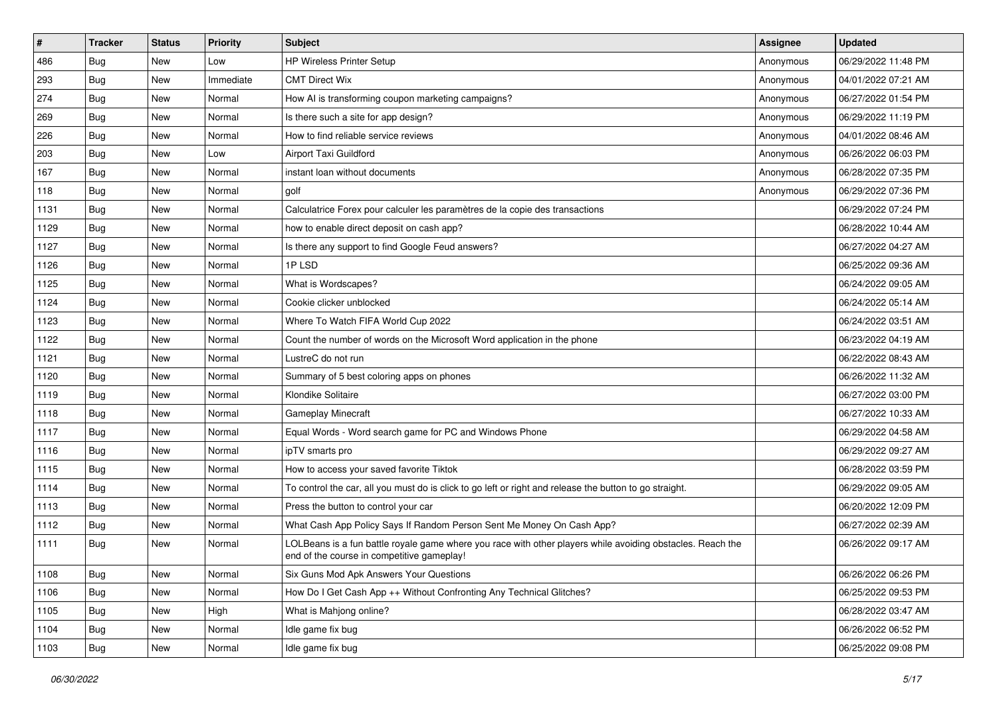| $\sharp$ | <b>Tracker</b> | <b>Status</b> | Priority  | <b>Subject</b>                                                                                                                                           | <b>Assignee</b> | <b>Updated</b>      |
|----------|----------------|---------------|-----------|----------------------------------------------------------------------------------------------------------------------------------------------------------|-----------------|---------------------|
| 486      | Bug            | New           | Low       | <b>HP Wireless Printer Setup</b>                                                                                                                         | Anonymous       | 06/29/2022 11:48 PM |
| 293      | Bug            | <b>New</b>    | Immediate | <b>CMT Direct Wix</b>                                                                                                                                    | Anonymous       | 04/01/2022 07:21 AM |
| 274      | <b>Bug</b>     | New           | Normal    | How AI is transforming coupon marketing campaigns?                                                                                                       | Anonymous       | 06/27/2022 01:54 PM |
| 269      | Bug            | New           | Normal    | Is there such a site for app design?                                                                                                                     | Anonymous       | 06/29/2022 11:19 PM |
| 226      | Bug            | <b>New</b>    | Normal    | How to find reliable service reviews                                                                                                                     | Anonymous       | 04/01/2022 08:46 AM |
| 203      | Bug            | New           | Low       | Airport Taxi Guildford                                                                                                                                   | Anonymous       | 06/26/2022 06:03 PM |
| 167      | Bug            | New           | Normal    | instant loan without documents                                                                                                                           | Anonymous       | 06/28/2022 07:35 PM |
| 118      | Bug            | New           | Normal    | golf                                                                                                                                                     | Anonymous       | 06/29/2022 07:36 PM |
| 1131     | Bug            | New           | Normal    | Calculatrice Forex pour calculer les paramètres de la copie des transactions                                                                             |                 | 06/29/2022 07:24 PM |
| 1129     | Bug            | <b>New</b>    | Normal    | how to enable direct deposit on cash app?                                                                                                                |                 | 06/28/2022 10:44 AM |
| 1127     | <b>Bug</b>     | New           | Normal    | Is there any support to find Google Feud answers?                                                                                                        |                 | 06/27/2022 04:27 AM |
| 1126     | Bug            | New           | Normal    | 1PLSD                                                                                                                                                    |                 | 06/25/2022 09:36 AM |
| 1125     | Bug            | New           | Normal    | What is Wordscapes?                                                                                                                                      |                 | 06/24/2022 09:05 AM |
| 1124     | Bug            | New           | Normal    | Cookie clicker unblocked                                                                                                                                 |                 | 06/24/2022 05:14 AM |
| 1123     | Bug            | <b>New</b>    | Normal    | Where To Watch FIFA World Cup 2022                                                                                                                       |                 | 06/24/2022 03:51 AM |
| 1122     | <b>Bug</b>     | New           | Normal    | Count the number of words on the Microsoft Word application in the phone                                                                                 |                 | 06/23/2022 04:19 AM |
| 1121     | Bug            | New           | Normal    | LustreC do not run                                                                                                                                       |                 | 06/22/2022 08:43 AM |
| 1120     | Bug            | New           | Normal    | Summary of 5 best coloring apps on phones                                                                                                                |                 | 06/26/2022 11:32 AM |
| 1119     | Bug            | New           | Normal    | Klondike Solitaire                                                                                                                                       |                 | 06/27/2022 03:00 PM |
| 1118     | Bug            | New           | Normal    | Gameplay Minecraft                                                                                                                                       |                 | 06/27/2022 10:33 AM |
| 1117     | <b>Bug</b>     | New           | Normal    | Equal Words - Word search game for PC and Windows Phone                                                                                                  |                 | 06/29/2022 04:58 AM |
| 1116     | Bug            | New           | Normal    | ipTV smarts pro                                                                                                                                          |                 | 06/29/2022 09:27 AM |
| 1115     | Bug            | <b>New</b>    | Normal    | How to access your saved favorite Tiktok                                                                                                                 |                 | 06/28/2022 03:59 PM |
| 1114     | <b>Bug</b>     | New           | Normal    | To control the car, all you must do is click to go left or right and release the button to go straight.                                                  |                 | 06/29/2022 09:05 AM |
| 1113     | Bug            | New           | Normal    | Press the button to control your car                                                                                                                     |                 | 06/20/2022 12:09 PM |
| 1112     | Bug            | New           | Normal    | What Cash App Policy Says If Random Person Sent Me Money On Cash App?                                                                                    |                 | 06/27/2022 02:39 AM |
| 1111     | <b>Bug</b>     | New           | Normal    | LOLBeans is a fun battle royale game where you race with other players while avoiding obstacles. Reach the<br>end of the course in competitive gameplay! |                 | 06/26/2022 09:17 AM |
| 1108     | i Bug          | New           | Normal    | Six Guns Mod Apk Answers Your Questions                                                                                                                  |                 | 06/26/2022 06:26 PM |
| 1106     | Bug            | New           | Normal    | How Do I Get Cash App ++ Without Confronting Any Technical Glitches?                                                                                     |                 | 06/25/2022 09:53 PM |
| 1105     | Bug            | New           | High      | What is Mahjong online?                                                                                                                                  |                 | 06/28/2022 03:47 AM |
| 1104     | Bug            | New           | Normal    | Idle game fix bug                                                                                                                                        |                 | 06/26/2022 06:52 PM |
| 1103     | <b>Bug</b>     | New           | Normal    | Idle game fix bug                                                                                                                                        |                 | 06/25/2022 09:08 PM |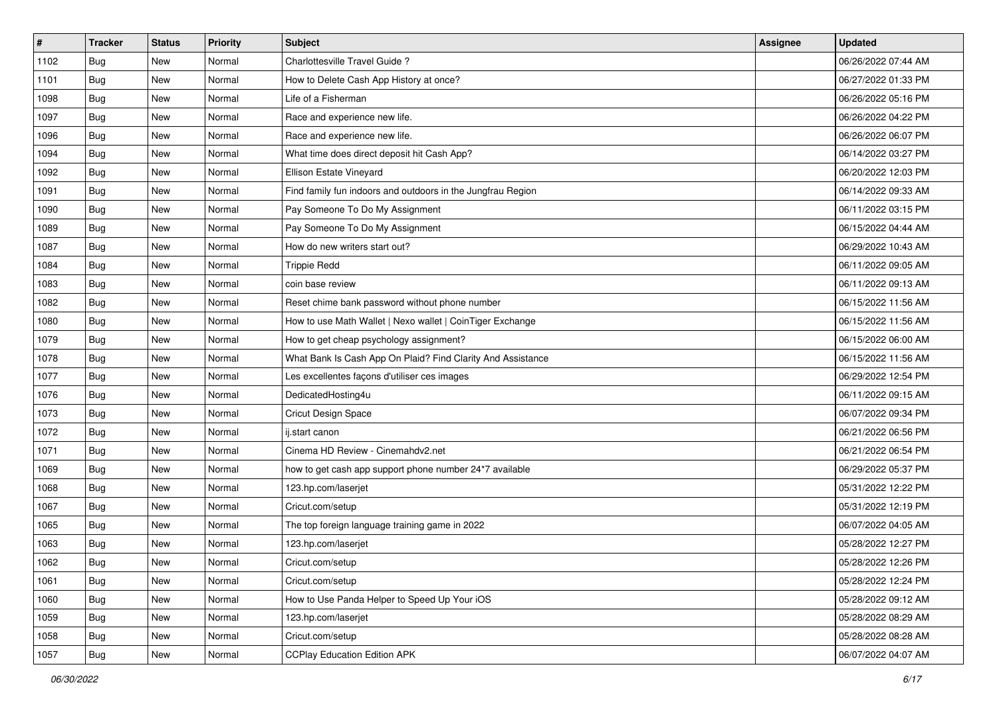| $\vert$ # | <b>Tracker</b> | <b>Status</b> | <b>Priority</b> | <b>Subject</b>                                              | <b>Assignee</b> | <b>Updated</b>      |
|-----------|----------------|---------------|-----------------|-------------------------------------------------------------|-----------------|---------------------|
| 1102      | <b>Bug</b>     | New           | Normal          | Charlottesville Travel Guide ?                              |                 | 06/26/2022 07:44 AM |
| 1101      | Bug            | New           | Normal          | How to Delete Cash App History at once?                     |                 | 06/27/2022 01:33 PM |
| 1098      | Bug            | New           | Normal          | Life of a Fisherman                                         |                 | 06/26/2022 05:16 PM |
| 1097      | <b>Bug</b>     | New           | Normal          | Race and experience new life.                               |                 | 06/26/2022 04:22 PM |
| 1096      | Bug            | <b>New</b>    | Normal          | Race and experience new life.                               |                 | 06/26/2022 06:07 PM |
| 1094      | <b>Bug</b>     | New           | Normal          | What time does direct deposit hit Cash App?                 |                 | 06/14/2022 03:27 PM |
| 1092      | <b>Bug</b>     | New           | Normal          | Ellison Estate Vineyard                                     |                 | 06/20/2022 12:03 PM |
| 1091      | Bug            | New           | Normal          | Find family fun indoors and outdoors in the Jungfrau Region |                 | 06/14/2022 09:33 AM |
| 1090      | <b>Bug</b>     | New           | Normal          | Pay Someone To Do My Assignment                             |                 | 06/11/2022 03:15 PM |
| 1089      | Bug            | New           | Normal          | Pay Someone To Do My Assignment                             |                 | 06/15/2022 04:44 AM |
| 1087      | <b>Bug</b>     | New           | Normal          | How do new writers start out?                               |                 | 06/29/2022 10:43 AM |
| 1084      | <b>Bug</b>     | New           | Normal          | <b>Trippie Redd</b>                                         |                 | 06/11/2022 09:05 AM |
| 1083      | Bug            | New           | Normal          | coin base review                                            |                 | 06/11/2022 09:13 AM |
| 1082      | <b>Bug</b>     | New           | Normal          | Reset chime bank password without phone number              |                 | 06/15/2022 11:56 AM |
| 1080      | Bug            | New           | Normal          | How to use Math Wallet   Nexo wallet   CoinTiger Exchange   |                 | 06/15/2022 11:56 AM |
| 1079      | <b>Bug</b>     | New           | Normal          | How to get cheap psychology assignment?                     |                 | 06/15/2022 06:00 AM |
| 1078      | <b>Bug</b>     | New           | Normal          | What Bank Is Cash App On Plaid? Find Clarity And Assistance |                 | 06/15/2022 11:56 AM |
| 1077      | Bug            | <b>New</b>    | Normal          | Les excellentes façons d'utiliser ces images                |                 | 06/29/2022 12:54 PM |
| 1076      | <b>Bug</b>     | New           | Normal          | DedicatedHosting4u                                          |                 | 06/11/2022 09:15 AM |
| 1073      | <b>Bug</b>     | New           | Normal          | Cricut Design Space                                         |                 | 06/07/2022 09:34 PM |
| 1072      | Bug            | New           | Normal          | ij.start canon                                              |                 | 06/21/2022 06:56 PM |
| 1071      | <b>Bug</b>     | New           | Normal          | Cinema HD Review - Cinemahdv2.net                           |                 | 06/21/2022 06:54 PM |
| 1069      | Bug            | <b>New</b>    | Normal          | how to get cash app support phone number 24*7 available     |                 | 06/29/2022 05:37 PM |
| 1068      | Bug            | New           | Normal          | 123.hp.com/laserjet                                         |                 | 05/31/2022 12:22 PM |
| 1067      | Bug            | New           | Normal          | Cricut.com/setup                                            |                 | 05/31/2022 12:19 PM |
| 1065      | <b>Bug</b>     | New           | Normal          | The top foreign language training game in 2022              |                 | 06/07/2022 04:05 AM |
| 1063      | <b>Bug</b>     | New           | Normal          | 123.hp.com/laserjet                                         |                 | 05/28/2022 12:27 PM |
| 1062      | Bug            | New           | Normal          | Cricut.com/setup                                            |                 | 05/28/2022 12:26 PM |
| 1061      | Bug            | New           | Normal          | Cricut.com/setup                                            |                 | 05/28/2022 12:24 PM |
| 1060      | Bug            | New           | Normal          | How to Use Panda Helper to Speed Up Your iOS                |                 | 05/28/2022 09:12 AM |
| 1059      | Bug            | New           | Normal          | 123.hp.com/laserjet                                         |                 | 05/28/2022 08:29 AM |
| 1058      | Bug            | New           | Normal          | Cricut.com/setup                                            |                 | 05/28/2022 08:28 AM |
| 1057      | <b>Bug</b>     | New           | Normal          | <b>CCPlay Education Edition APK</b>                         |                 | 06/07/2022 04:07 AM |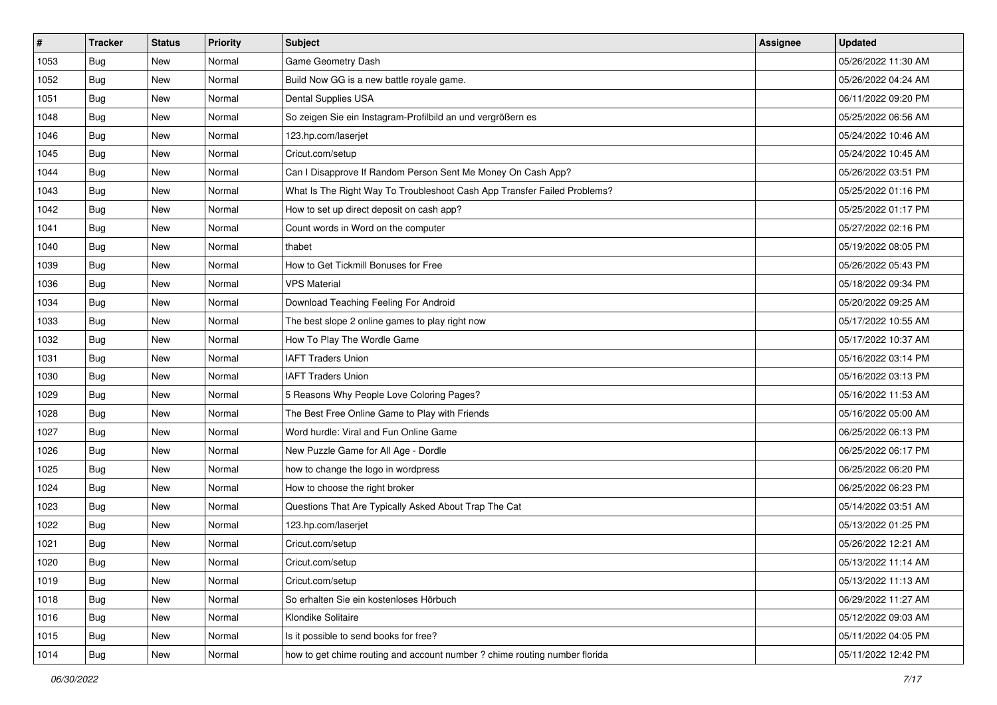| $\vert$ # | <b>Tracker</b> | <b>Status</b> | <b>Priority</b> | <b>Subject</b>                                                             | <b>Assignee</b> | <b>Updated</b>      |
|-----------|----------------|---------------|-----------------|----------------------------------------------------------------------------|-----------------|---------------------|
| 1053      | <b>Bug</b>     | New           | Normal          | Game Geometry Dash                                                         |                 | 05/26/2022 11:30 AM |
| 1052      | Bug            | New           | Normal          | Build Now GG is a new battle royale game.                                  |                 | 05/26/2022 04:24 AM |
| 1051      | Bug            | New           | Normal          | Dental Supplies USA                                                        |                 | 06/11/2022 09:20 PM |
| 1048      | Bug            | New           | Normal          | So zeigen Sie ein Instagram-Profilbild an und vergrößern es                |                 | 05/25/2022 06:56 AM |
| 1046      | Bug            | <b>New</b>    | Normal          | 123.hp.com/laserjet                                                        |                 | 05/24/2022 10:46 AM |
| 1045      | Bug            | New           | Normal          | Cricut.com/setup                                                           |                 | 05/24/2022 10:45 AM |
| 1044      | <b>Bug</b>     | New           | Normal          | Can I Disapprove If Random Person Sent Me Money On Cash App?               |                 | 05/26/2022 03:51 PM |
| 1043      | <b>Bug</b>     | New           | Normal          | What Is The Right Way To Troubleshoot Cash App Transfer Failed Problems?   |                 | 05/25/2022 01:16 PM |
| 1042      | <b>Bug</b>     | New           | Normal          | How to set up direct deposit on cash app?                                  |                 | 05/25/2022 01:17 PM |
| 1041      | Bug            | New           | Normal          | Count words in Word on the computer                                        |                 | 05/27/2022 02:16 PM |
| 1040      | <b>Bug</b>     | New           | Normal          | thabet                                                                     |                 | 05/19/2022 08:05 PM |
| 1039      | <b>Bug</b>     | New           | Normal          | How to Get Tickmill Bonuses for Free                                       |                 | 05/26/2022 05:43 PM |
| 1036      | Bug            | New           | Normal          | <b>VPS Material</b>                                                        |                 | 05/18/2022 09:34 PM |
| 1034      | Bug            | New           | Normal          | Download Teaching Feeling For Android                                      |                 | 05/20/2022 09:25 AM |
| 1033      | Bug            | New           | Normal          | The best slope 2 online games to play right now                            |                 | 05/17/2022 10:55 AM |
| 1032      | <b>Bug</b>     | New           | Normal          | How To Play The Wordle Game                                                |                 | 05/17/2022 10:37 AM |
| 1031      | <b>Bug</b>     | New           | Normal          | <b>IAFT Traders Union</b>                                                  |                 | 05/16/2022 03:14 PM |
| 1030      | Bug            | <b>New</b>    | Normal          | <b>IAFT Traders Union</b>                                                  |                 | 05/16/2022 03:13 PM |
| 1029      | Bug            | New           | Normal          | 5 Reasons Why People Love Coloring Pages?                                  |                 | 05/16/2022 11:53 AM |
| 1028      | <b>Bug</b>     | New           | Normal          | The Best Free Online Game to Play with Friends                             |                 | 05/16/2022 05:00 AM |
| 1027      | Bug            | New           | Normal          | Word hurdle: Viral and Fun Online Game                                     |                 | 06/25/2022 06:13 PM |
| 1026      | <b>Bug</b>     | New           | Normal          | New Puzzle Game for All Age - Dordle                                       |                 | 06/25/2022 06:17 PM |
| 1025      | Bug            | <b>New</b>    | Normal          | how to change the logo in wordpress                                        |                 | 06/25/2022 06:20 PM |
| 1024      | Bug            | New           | Normal          | How to choose the right broker                                             |                 | 06/25/2022 06:23 PM |
| 1023      | Bug            | New           | Normal          | Questions That Are Typically Asked About Trap The Cat                      |                 | 05/14/2022 03:51 AM |
| 1022      | <b>Bug</b>     | New           | Normal          | 123.hp.com/laserjet                                                        |                 | 05/13/2022 01:25 PM |
| 1021      | <b>Bug</b>     | New           | Normal          | Cricut.com/setup                                                           |                 | 05/26/2022 12:21 AM |
| 1020      | I Bug          | New           | Normal          | Cricut.com/setup                                                           |                 | 05/13/2022 11:14 AM |
| 1019      | <b>Bug</b>     | New           | Normal          | Cricut.com/setup                                                           |                 | 05/13/2022 11:13 AM |
| 1018      | <b>Bug</b>     | New           | Normal          | So erhalten Sie ein kostenloses Hörbuch                                    |                 | 06/29/2022 11:27 AM |
| 1016      | <b>Bug</b>     | New           | Normal          | Klondike Solitaire                                                         |                 | 05/12/2022 09:03 AM |
| 1015      | Bug            | New           | Normal          | Is it possible to send books for free?                                     |                 | 05/11/2022 04:05 PM |
| 1014      | <b>Bug</b>     | New           | Normal          | how to get chime routing and account number ? chime routing number florida |                 | 05/11/2022 12:42 PM |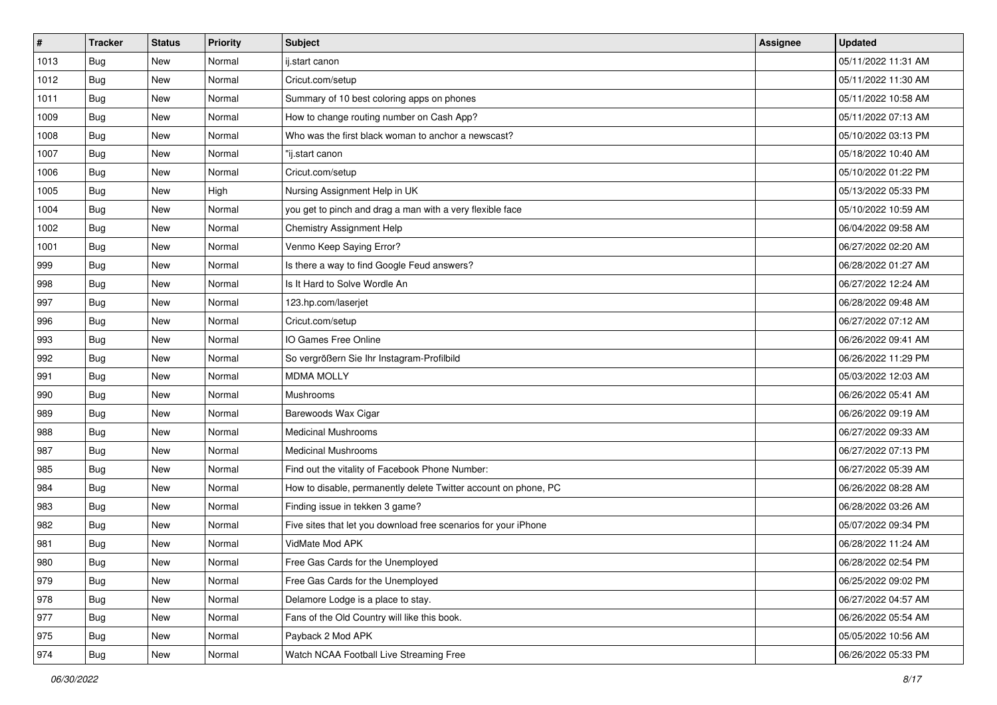| $\sharp$ | <b>Tracker</b> | <b>Status</b> | <b>Priority</b> | Subject                                                         | <b>Assignee</b> | <b>Updated</b>      |
|----------|----------------|---------------|-----------------|-----------------------------------------------------------------|-----------------|---------------------|
| 1013     | <b>Bug</b>     | New           | Normal          | ij.start canon                                                  |                 | 05/11/2022 11:31 AM |
| 1012     | Bug            | New           | Normal          | Cricut.com/setup                                                |                 | 05/11/2022 11:30 AM |
| 1011     | Bug            | New           | Normal          | Summary of 10 best coloring apps on phones                      |                 | 05/11/2022 10:58 AM |
| 1009     | <b>Bug</b>     | New           | Normal          | How to change routing number on Cash App?                       |                 | 05/11/2022 07:13 AM |
| 1008     | Bug            | <b>New</b>    | Normal          | Who was the first black woman to anchor a newscast?             |                 | 05/10/2022 03:13 PM |
| 1007     | Bug            | New           | Normal          | "ij.start canon                                                 |                 | 05/18/2022 10:40 AM |
| 1006     | Bug            | New           | Normal          | Cricut.com/setup                                                |                 | 05/10/2022 01:22 PM |
| 1005     | Bug            | New           | High            | Nursing Assignment Help in UK                                   |                 | 05/13/2022 05:33 PM |
| 1004     | Bug            | New           | Normal          | you get to pinch and drag a man with a very flexible face       |                 | 05/10/2022 10:59 AM |
| 1002     | Bug            | New           | Normal          | Chemistry Assignment Help                                       |                 | 06/04/2022 09:58 AM |
| 1001     | <b>Bug</b>     | New           | Normal          | Venmo Keep Saying Error?                                        |                 | 06/27/2022 02:20 AM |
| 999      | Bug            | New           | Normal          | Is there a way to find Google Feud answers?                     |                 | 06/28/2022 01:27 AM |
| 998      | Bug            | New           | Normal          | Is It Hard to Solve Wordle An                                   |                 | 06/27/2022 12:24 AM |
| 997      | Bug            | New           | Normal          | 123.hp.com/laserjet                                             |                 | 06/28/2022 09:48 AM |
| 996      | <b>Bug</b>     | New           | Normal          | Cricut.com/setup                                                |                 | 06/27/2022 07:12 AM |
| 993      | Bug            | New           | Normal          | IO Games Free Online                                            |                 | 06/26/2022 09:41 AM |
| 992      | Bug            | New           | Normal          | So vergrößern Sie Ihr Instagram-Profilbild                      |                 | 06/26/2022 11:29 PM |
| 991      | Bug            | <b>New</b>    | Normal          | <b>MDMA MOLLY</b>                                               |                 | 05/03/2022 12:03 AM |
| 990      | <b>Bug</b>     | New           | Normal          | Mushrooms                                                       |                 | 06/26/2022 05:41 AM |
| 989      | Bug            | New           | Normal          | Barewoods Wax Cigar                                             |                 | 06/26/2022 09:19 AM |
| 988      | <b>Bug</b>     | New           | Normal          | <b>Medicinal Mushrooms</b>                                      |                 | 06/27/2022 09:33 AM |
| 987      | Bug            | New           | Normal          | <b>Medicinal Mushrooms</b>                                      |                 | 06/27/2022 07:13 PM |
| 985      | Bug            | <b>New</b>    | Normal          | Find out the vitality of Facebook Phone Number:                 |                 | 06/27/2022 05:39 AM |
| 984      | <b>Bug</b>     | New           | Normal          | How to disable, permanently delete Twitter account on phone, PC |                 | 06/26/2022 08:28 AM |
| 983      | Bug            | New           | Normal          | Finding issue in tekken 3 game?                                 |                 | 06/28/2022 03:26 AM |
| 982      | Bug            | New           | Normal          | Five sites that let you download free scenarios for your iPhone |                 | 05/07/2022 09:34 PM |
| 981      | <b>Bug</b>     | New           | Normal          | VidMate Mod APK                                                 |                 | 06/28/2022 11:24 AM |
| 980      | I Bug          | New           | Normal          | Free Gas Cards for the Unemployed                               |                 | 06/28/2022 02:54 PM |
| 979      | <b>Bug</b>     | New           | Normal          | Free Gas Cards for the Unemployed                               |                 | 06/25/2022 09:02 PM |
| 978      | <b>Bug</b>     | New           | Normal          | Delamore Lodge is a place to stay.                              |                 | 06/27/2022 04:57 AM |
| 977      | <b>Bug</b>     | New           | Normal          | Fans of the Old Country will like this book.                    |                 | 06/26/2022 05:54 AM |
| 975      | Bug            | New           | Normal          | Payback 2 Mod APK                                               |                 | 05/05/2022 10:56 AM |
| 974      | <b>Bug</b>     | New           | Normal          | Watch NCAA Football Live Streaming Free                         |                 | 06/26/2022 05:33 PM |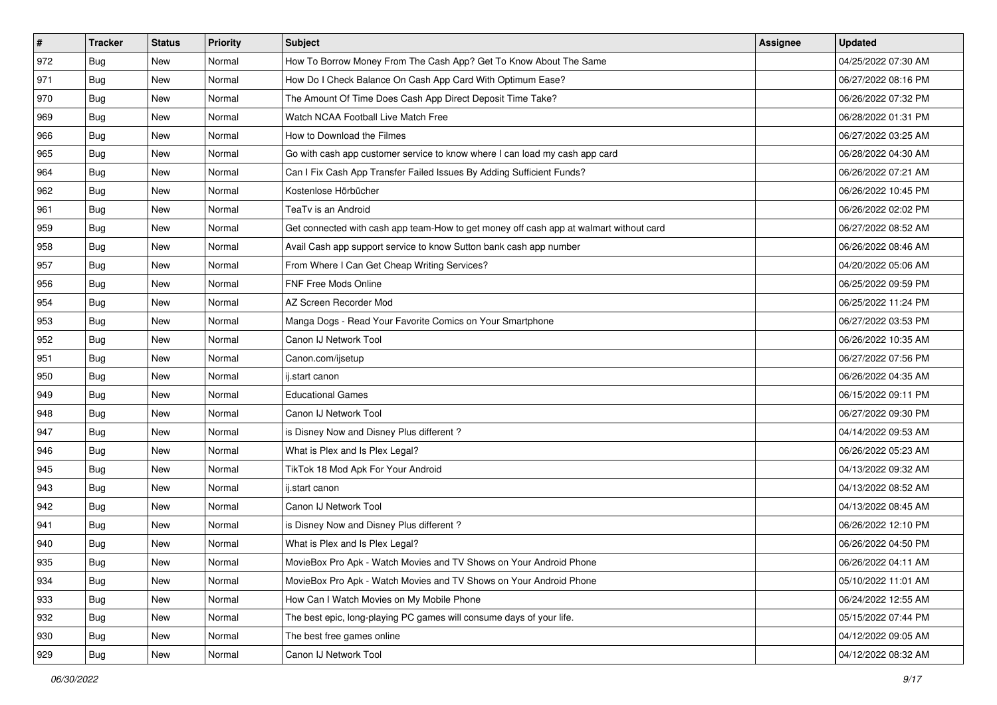| $\vert$ # | <b>Tracker</b> | <b>Status</b> | Priority | <b>Subject</b>                                                                         | <b>Assignee</b> | <b>Updated</b>      |
|-----------|----------------|---------------|----------|----------------------------------------------------------------------------------------|-----------------|---------------------|
| 972       | <b>Bug</b>     | New           | Normal   | How To Borrow Money From The Cash App? Get To Know About The Same                      |                 | 04/25/2022 07:30 AM |
| 971       | Bug            | New           | Normal   | How Do I Check Balance On Cash App Card With Optimum Ease?                             |                 | 06/27/2022 08:16 PM |
| 970       | Bug            | New           | Normal   | The Amount Of Time Does Cash App Direct Deposit Time Take?                             |                 | 06/26/2022 07:32 PM |
| 969       | Bug            | New           | Normal   | Watch NCAA Football Live Match Free                                                    |                 | 06/28/2022 01:31 PM |
| 966       | Bug            | New           | Normal   | How to Download the Filmes                                                             |                 | 06/27/2022 03:25 AM |
| 965       | <b>Bug</b>     | New           | Normal   | Go with cash app customer service to know where I can load my cash app card            |                 | 06/28/2022 04:30 AM |
| 964       | Bug            | New           | Normal   | Can I Fix Cash App Transfer Failed Issues By Adding Sufficient Funds?                  |                 | 06/26/2022 07:21 AM |
| 962       | <b>Bug</b>     | New           | Normal   | Kostenlose Hörbücher                                                                   |                 | 06/26/2022 10:45 PM |
| 961       | Bug            | New           | Normal   | TeaTv is an Android                                                                    |                 | 06/26/2022 02:02 PM |
| 959       | Bug            | New           | Normal   | Get connected with cash app team-How to get money off cash app at walmart without card |                 | 06/27/2022 08:52 AM |
| 958       | <b>Bug</b>     | New           | Normal   | Avail Cash app support service to know Sutton bank cash app number                     |                 | 06/26/2022 08:46 AM |
| 957       | Bug            | New           | Normal   | From Where I Can Get Cheap Writing Services?                                           |                 | 04/20/2022 05:06 AM |
| 956       | Bug            | <b>New</b>    | Normal   | FNF Free Mods Online                                                                   |                 | 06/25/2022 09:59 PM |
| 954       | <b>Bug</b>     | New           | Normal   | AZ Screen Recorder Mod                                                                 |                 | 06/25/2022 11:24 PM |
| 953       | Bug            | New           | Normal   | Manga Dogs - Read Your Favorite Comics on Your Smartphone                              |                 | 06/27/2022 03:53 PM |
| 952       | Bug            | New           | Normal   | Canon IJ Network Tool                                                                  |                 | 06/26/2022 10:35 AM |
| 951       | <b>Bug</b>     | New           | Normal   | Canon.com/ijsetup                                                                      |                 | 06/27/2022 07:56 PM |
| 950       | Bug            | <b>New</b>    | Normal   | ij.start canon                                                                         |                 | 06/26/2022 04:35 AM |
| 949       | <b>Bug</b>     | New           | Normal   | <b>Educational Games</b>                                                               |                 | 06/15/2022 09:11 PM |
| 948       | Bug            | New           | Normal   | Canon IJ Network Tool                                                                  |                 | 06/27/2022 09:30 PM |
| 947       | <b>Bug</b>     | New           | Normal   | is Disney Now and Disney Plus different?                                               |                 | 04/14/2022 09:53 AM |
| 946       | Bug            | New           | Normal   | What is Plex and Is Plex Legal?                                                        |                 | 06/26/2022 05:23 AM |
| 945       | Bug            | <b>New</b>    | Normal   | TikTok 18 Mod Apk For Your Android                                                     |                 | 04/13/2022 09:32 AM |
| 943       | <b>Bug</b>     | New           | Normal   | ij.start canon                                                                         |                 | 04/13/2022 08:52 AM |
| 942       | Bug            | New           | Normal   | Canon IJ Network Tool                                                                  |                 | 04/13/2022 08:45 AM |
| 941       | Bug            | <b>New</b>    | Normal   | is Disney Now and Disney Plus different?                                               |                 | 06/26/2022 12:10 PM |
| 940       | <b>Bug</b>     | New           | Normal   | What is Plex and Is Plex Legal?                                                        |                 | 06/26/2022 04:50 PM |
| 935       | <b>Bug</b>     | New           | Normal   | MovieBox Pro Apk - Watch Movies and TV Shows on Your Android Phone                     |                 | 06/26/2022 04:11 AM |
| 934       | <b>Bug</b>     | New           | Normal   | MovieBox Pro Apk - Watch Movies and TV Shows on Your Android Phone                     |                 | 05/10/2022 11:01 AM |
| 933       | <b>Bug</b>     | New           | Normal   | How Can I Watch Movies on My Mobile Phone                                              |                 | 06/24/2022 12:55 AM |
| 932       | Bug            | <b>New</b>    | Normal   | The best epic, long-playing PC games will consume days of your life.                   |                 | 05/15/2022 07:44 PM |
| 930       | <b>Bug</b>     | New           | Normal   | The best free games online                                                             |                 | 04/12/2022 09:05 AM |
| 929       | <b>Bug</b>     | New           | Normal   | Canon IJ Network Tool                                                                  |                 | 04/12/2022 08:32 AM |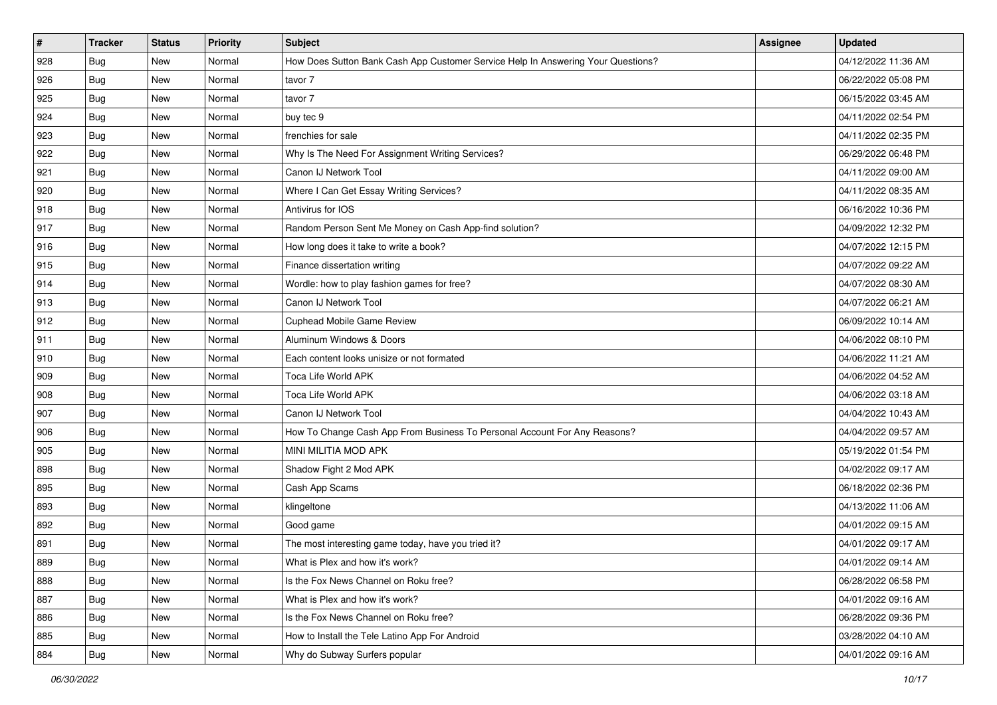| $\vert$ # | <b>Tracker</b> | <b>Status</b> | Priority | <b>Subject</b>                                                                   | <b>Assignee</b> | <b>Updated</b>      |
|-----------|----------------|---------------|----------|----------------------------------------------------------------------------------|-----------------|---------------------|
| 928       | <b>Bug</b>     | New           | Normal   | How Does Sutton Bank Cash App Customer Service Help In Answering Your Questions? |                 | 04/12/2022 11:36 AM |
| 926       | Bug            | New           | Normal   | tavor 7                                                                          |                 | 06/22/2022 05:08 PM |
| 925       | Bug            | New           | Normal   | tavor 7                                                                          |                 | 06/15/2022 03:45 AM |
| 924       | Bug            | New           | Normal   | buy tec 9                                                                        |                 | 04/11/2022 02:54 PM |
| 923       | <b>Bug</b>     | New           | Normal   | frenchies for sale                                                               |                 | 04/11/2022 02:35 PM |
| 922       | Bug            | New           | Normal   | Why Is The Need For Assignment Writing Services?                                 |                 | 06/29/2022 06:48 PM |
| 921       | Bug            | New           | Normal   | Canon IJ Network Tool                                                            |                 | 04/11/2022 09:00 AM |
| 920       | Bug            | New           | Normal   | Where I Can Get Essay Writing Services?                                          |                 | 04/11/2022 08:35 AM |
| 918       | <b>Bug</b>     | New           | Normal   | Antivirus for IOS                                                                |                 | 06/16/2022 10:36 PM |
| 917       | Bug            | New           | Normal   | Random Person Sent Me Money on Cash App-find solution?                           |                 | 04/09/2022 12:32 PM |
| 916       | Bug            | New           | Normal   | How long does it take to write a book?                                           |                 | 04/07/2022 12:15 PM |
| 915       | Bug            | New           | Normal   | Finance dissertation writing                                                     |                 | 04/07/2022 09:22 AM |
| 914       | Bug            | New           | Normal   | Wordle: how to play fashion games for free?                                      |                 | 04/07/2022 08:30 AM |
| 913       | <b>Bug</b>     | New           | Normal   | Canon IJ Network Tool                                                            |                 | 04/07/2022 06:21 AM |
| 912       | Bug            | New           | Normal   | <b>Cuphead Mobile Game Review</b>                                                |                 | 06/09/2022 10:14 AM |
| 911       | Bug            | New           | Normal   | Aluminum Windows & Doors                                                         |                 | 04/06/2022 08:10 PM |
| 910       | Bug            | New           | Normal   | Each content looks unisize or not formated                                       |                 | 04/06/2022 11:21 AM |
| 909       | <b>Bug</b>     | New           | Normal   | <b>Toca Life World APK</b>                                                       |                 | 04/06/2022 04:52 AM |
| 908       | Bug            | New           | Normal   | Toca Life World APK                                                              |                 | 04/06/2022 03:18 AM |
| 907       | Bug            | New           | Normal   | Canon IJ Network Tool                                                            |                 | 04/04/2022 10:43 AM |
| 906       | Bug            | New           | Normal   | How To Change Cash App From Business To Personal Account For Any Reasons?        |                 | 04/04/2022 09:57 AM |
| 905       | Bug            | New           | Normal   | MINI MILITIA MOD APK                                                             |                 | 05/19/2022 01:54 PM |
| 898       | <b>Bug</b>     | New           | Normal   | Shadow Fight 2 Mod APK                                                           |                 | 04/02/2022 09:17 AM |
| 895       | <b>Bug</b>     | New           | Normal   | Cash App Scams                                                                   |                 | 06/18/2022 02:36 PM |
| 893       | Bug            | New           | Normal   | klingeltone                                                                      |                 | 04/13/2022 11:06 AM |
| 892       | Bug            | New           | Normal   | Good game                                                                        |                 | 04/01/2022 09:15 AM |
| 891       | <b>Bug</b>     | New           | Normal   | The most interesting game today, have you tried it?                              |                 | 04/01/2022 09:17 AM |
| 889       | <b>Bug</b>     | New           | Normal   | What is Plex and how it's work?                                                  |                 | 04/01/2022 09:14 AM |
| 888       | Bug            | New           | Normal   | Is the Fox News Channel on Roku free?                                            |                 | 06/28/2022 06:58 PM |
| 887       | <b>Bug</b>     | New           | Normal   | What is Plex and how it's work?                                                  |                 | 04/01/2022 09:16 AM |
| 886       | <b>Bug</b>     | New           | Normal   | Is the Fox News Channel on Roku free?                                            |                 | 06/28/2022 09:36 PM |
| 885       | <b>Bug</b>     | New           | Normal   | How to Install the Tele Latino App For Android                                   |                 | 03/28/2022 04:10 AM |
| 884       | <b>Bug</b>     | New           | Normal   | Why do Subway Surfers popular                                                    |                 | 04/01/2022 09:16 AM |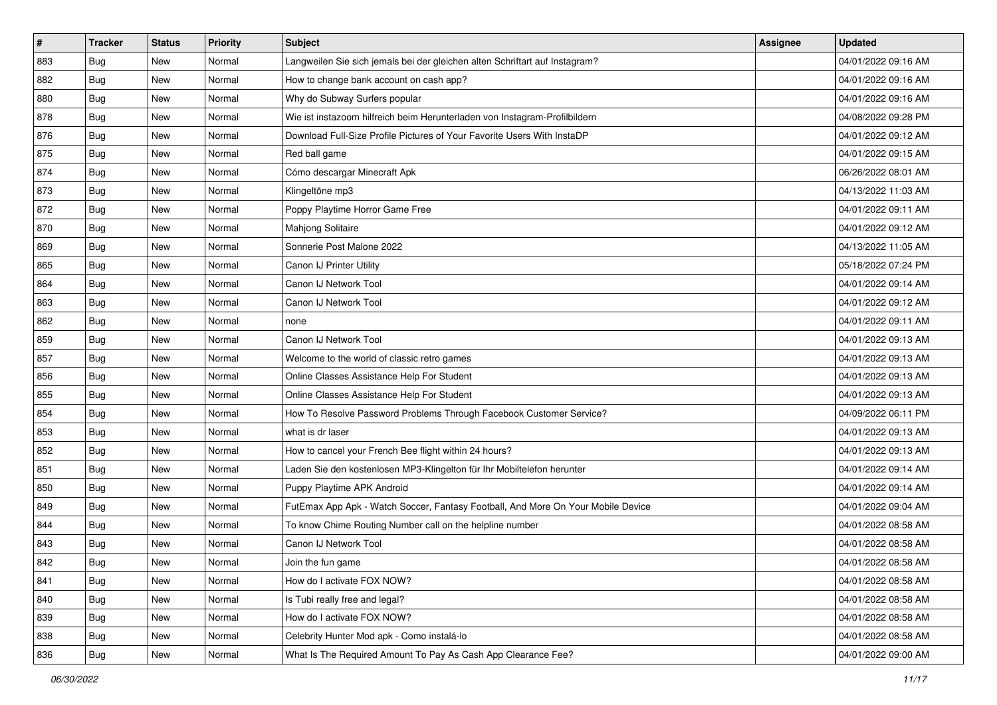| $\sharp$ | <b>Tracker</b> | <b>Status</b> | <b>Priority</b> | Subject                                                                          | <b>Assignee</b> | <b>Updated</b>      |
|----------|----------------|---------------|-----------------|----------------------------------------------------------------------------------|-----------------|---------------------|
| 883      | Bug            | New           | Normal          | Langweilen Sie sich jemals bei der gleichen alten Schriftart auf Instagram?      |                 | 04/01/2022 09:16 AM |
| 882      | <b>Bug</b>     | New           | Normal          | How to change bank account on cash app?                                          |                 | 04/01/2022 09:16 AM |
| 880      | Bug            | New           | Normal          | Why do Subway Surfers popular                                                    |                 | 04/01/2022 09:16 AM |
| 878      | Bug            | New           | Normal          | Wie ist instazoom hilfreich beim Herunterladen von Instagram-Profilbildern       |                 | 04/08/2022 09:28 PM |
| 876      | Bug            | New           | Normal          | Download Full-Size Profile Pictures of Your Favorite Users With InstaDP          |                 | 04/01/2022 09:12 AM |
| 875      | <b>Bug</b>     | New           | Normal          | Red ball game                                                                    |                 | 04/01/2022 09:15 AM |
| 874      | Bug            | New           | Normal          | Cómo descargar Minecraft Apk                                                     |                 | 06/26/2022 08:01 AM |
| 873      | <b>Bug</b>     | New           | Normal          | Klingeltöne mp3                                                                  |                 | 04/13/2022 11:03 AM |
| 872      | Bug            | New           | Normal          | Poppy Playtime Horror Game Free                                                  |                 | 04/01/2022 09:11 AM |
| 870      | Bug            | New           | Normal          | Mahjong Solitaire                                                                |                 | 04/01/2022 09:12 AM |
| 869      | <b>Bug</b>     | New           | Normal          | Sonnerie Post Malone 2022                                                        |                 | 04/13/2022 11:05 AM |
| 865      | Bug            | New           | Normal          | Canon IJ Printer Utility                                                         |                 | 05/18/2022 07:24 PM |
| 864      | Bug            | New           | Normal          | Canon IJ Network Tool                                                            |                 | 04/01/2022 09:14 AM |
| 863      | Bug            | New           | Normal          | Canon IJ Network Tool                                                            |                 | 04/01/2022 09:12 AM |
| 862      | Bug            | New           | Normal          | none                                                                             |                 | 04/01/2022 09:11 AM |
| 859      | Bug            | New           | Normal          | Canon IJ Network Tool                                                            |                 | 04/01/2022 09:13 AM |
| 857      | Bug            | New           | Normal          | Welcome to the world of classic retro games                                      |                 | 04/01/2022 09:13 AM |
| 856      | Bug            | New           | Normal          | Online Classes Assistance Help For Student                                       |                 | 04/01/2022 09:13 AM |
| 855      | Bug            | New           | Normal          | Online Classes Assistance Help For Student                                       |                 | 04/01/2022 09:13 AM |
| 854      | Bug            | New           | Normal          | How To Resolve Password Problems Through Facebook Customer Service?              |                 | 04/09/2022 06:11 PM |
| 853      | <b>Bug</b>     | New           | Normal          | what is dr laser                                                                 |                 | 04/01/2022 09:13 AM |
| 852      | Bug            | New           | Normal          | How to cancel your French Bee flight within 24 hours?                            |                 | 04/01/2022 09:13 AM |
| 851      | Bug            | New           | Normal          | Laden Sie den kostenlosen MP3-Klingelton für Ihr Mobiltelefon herunter           |                 | 04/01/2022 09:14 AM |
| 850      | <b>Bug</b>     | New           | Normal          | Puppy Playtime APK Android                                                       |                 | 04/01/2022 09:14 AM |
| 849      | Bug            | New           | Normal          | FutEmax App Apk - Watch Soccer, Fantasy Football, And More On Your Mobile Device |                 | 04/01/2022 09:04 AM |
| 844      | Bug            | New           | Normal          | To know Chime Routing Number call on the helpline number                         |                 | 04/01/2022 08:58 AM |
| 843      | <b>Bug</b>     | New           | Normal          | Canon IJ Network Tool                                                            |                 | 04/01/2022 08:58 AM |
| 842      | <b>Bug</b>     | New           | Normal          | Join the fun game                                                                |                 | 04/01/2022 08:58 AM |
| 841      | <b>Bug</b>     | New           | Normal          | How do I activate FOX NOW?                                                       |                 | 04/01/2022 08:58 AM |
| 840      | <b>Bug</b>     | New           | Normal          | Is Tubi really free and legal?                                                   |                 | 04/01/2022 08:58 AM |
| 839      | <b>Bug</b>     | New           | Normal          | How do I activate FOX NOW?                                                       |                 | 04/01/2022 08:58 AM |
| 838      | Bug            | New           | Normal          | Celebrity Hunter Mod apk - Como instalá-lo                                       |                 | 04/01/2022 08:58 AM |
| 836      | <b>Bug</b>     | New           | Normal          | What Is The Required Amount To Pay As Cash App Clearance Fee?                    |                 | 04/01/2022 09:00 AM |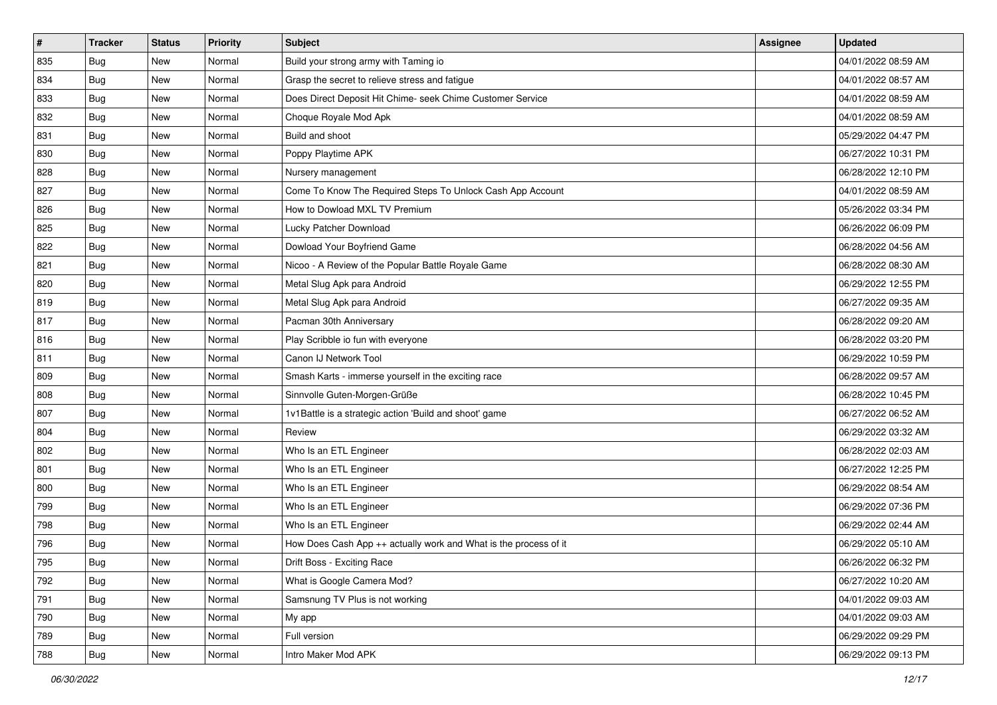| $\sharp$ | <b>Tracker</b> | <b>Status</b> | <b>Priority</b> | <b>Subject</b>                                                   | <b>Assignee</b> | <b>Updated</b>      |
|----------|----------------|---------------|-----------------|------------------------------------------------------------------|-----------------|---------------------|
| 835      | Bug            | New           | Normal          | Build your strong army with Taming io                            |                 | 04/01/2022 08:59 AM |
| 834      | Bug            | New           | Normal          | Grasp the secret to relieve stress and fatigue                   |                 | 04/01/2022 08:57 AM |
| 833      | Bug            | New           | Normal          | Does Direct Deposit Hit Chime- seek Chime Customer Service       |                 | 04/01/2022 08:59 AM |
| 832      | Bug            | New           | Normal          | Choque Royale Mod Apk                                            |                 | 04/01/2022 08:59 AM |
| 831      | Bug            | New           | Normal          | Build and shoot                                                  |                 | 05/29/2022 04:47 PM |
| 830      | <b>Bug</b>     | New           | Normal          | Poppy Playtime APK                                               |                 | 06/27/2022 10:31 PM |
| 828      | Bug            | New           | Normal          | Nursery management                                               |                 | 06/28/2022 12:10 PM |
| 827      | Bug            | New           | Normal          | Come To Know The Required Steps To Unlock Cash App Account       |                 | 04/01/2022 08:59 AM |
| 826      | <b>Bug</b>     | New           | Normal          | How to Dowload MXL TV Premium                                    |                 | 05/26/2022 03:34 PM |
| 825      | Bug            | New           | Normal          | Lucky Patcher Download                                           |                 | 06/26/2022 06:09 PM |
| 822      | <b>Bug</b>     | New           | Normal          | Dowload Your Boyfriend Game                                      |                 | 06/28/2022 04:56 AM |
| 821      | Bug            | New           | Normal          | Nicoo - A Review of the Popular Battle Royale Game               |                 | 06/28/2022 08:30 AM |
| 820      | Bug            | New           | Normal          | Metal Slug Apk para Android                                      |                 | 06/29/2022 12:55 PM |
| 819      | <b>Bug</b>     | New           | Normal          | Metal Slug Apk para Android                                      |                 | 06/27/2022 09:35 AM |
| 817      | Bug            | New           | Normal          | Pacman 30th Anniversary                                          |                 | 06/28/2022 09:20 AM |
| 816      | <b>Bug</b>     | New           | Normal          | Play Scribble io fun with everyone                               |                 | 06/28/2022 03:20 PM |
| 811      | Bug            | New           | Normal          | Canon IJ Network Tool                                            |                 | 06/29/2022 10:59 PM |
| 809      | <b>Bug</b>     | <b>New</b>    | Normal          | Smash Karts - immerse yourself in the exciting race              |                 | 06/28/2022 09:57 AM |
| 808      | Bug            | New           | Normal          | Sinnvolle Guten-Morgen-Grüße                                     |                 | 06/28/2022 10:45 PM |
| 807      | <b>Bug</b>     | New           | Normal          | 1v1Battle is a strategic action 'Build and shoot' game           |                 | 06/27/2022 06:52 AM |
| 804      | Bug            | New           | Normal          | Review                                                           |                 | 06/29/2022 03:32 AM |
| 802      | <b>Bug</b>     | New           | Normal          | Who Is an ETL Engineer                                           |                 | 06/28/2022 02:03 AM |
| 801      | Bug            | New           | Normal          | Who Is an ETL Engineer                                           |                 | 06/27/2022 12:25 PM |
| 800      | <b>Bug</b>     | New           | Normal          | Who Is an ETL Engineer                                           |                 | 06/29/2022 08:54 AM |
| 799      | Bug            | New           | Normal          | Who Is an ETL Engineer                                           |                 | 06/29/2022 07:36 PM |
| 798      | Bug            | New           | Normal          | Who Is an ETL Engineer                                           |                 | 06/29/2022 02:44 AM |
| 796      | <b>Bug</b>     | New           | Normal          | How Does Cash App ++ actually work and What is the process of it |                 | 06/29/2022 05:10 AM |
| 795      | i Bug          | New           | Normal          | Drift Boss - Exciting Race                                       |                 | 06/26/2022 06:32 PM |
| 792      | <b>Bug</b>     | New           | Normal          | What is Google Camera Mod?                                       |                 | 06/27/2022 10:20 AM |
| 791      | Bug            | New           | Normal          | Samsnung TV Plus is not working                                  |                 | 04/01/2022 09:03 AM |
| 790      | <b>Bug</b>     | New           | Normal          | My app                                                           |                 | 04/01/2022 09:03 AM |
| 789      | Bug            | New           | Normal          | Full version                                                     |                 | 06/29/2022 09:29 PM |
| 788      | Bug            | New           | Normal          | Intro Maker Mod APK                                              |                 | 06/29/2022 09:13 PM |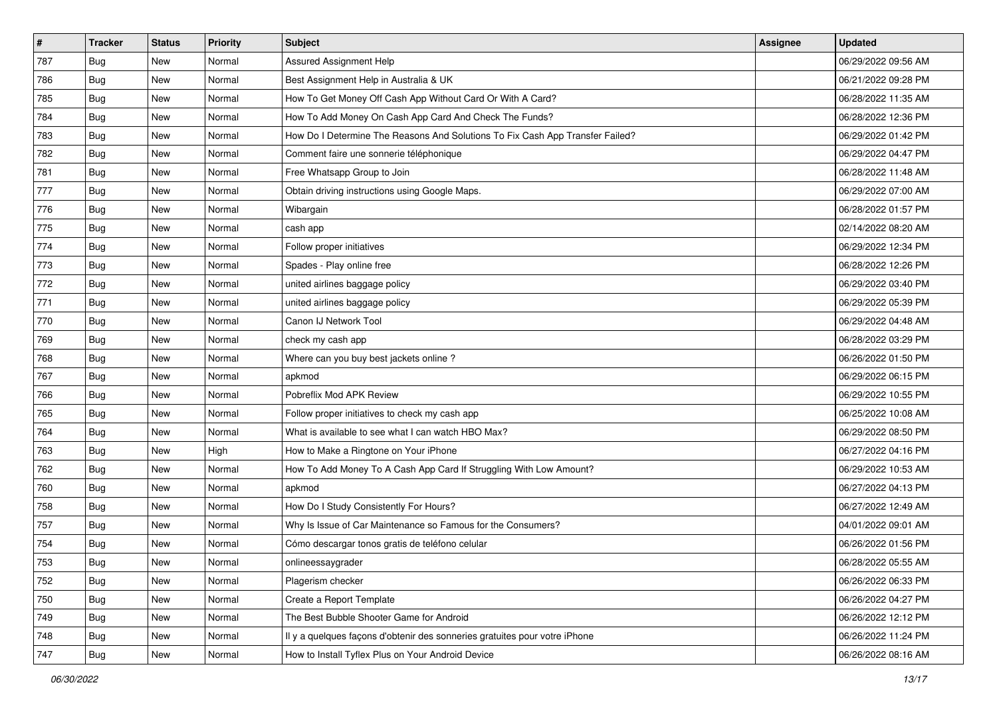| $\vert$ # | <b>Tracker</b> | <b>Status</b> | <b>Priority</b> | <b>Subject</b>                                                                | <b>Assignee</b> | <b>Updated</b>      |
|-----------|----------------|---------------|-----------------|-------------------------------------------------------------------------------|-----------------|---------------------|
| 787       | <b>Bug</b>     | New           | Normal          | Assured Assignment Help                                                       |                 | 06/29/2022 09:56 AM |
| 786       | <b>Bug</b>     | New           | Normal          | Best Assignment Help in Australia & UK                                        |                 | 06/21/2022 09:28 PM |
| 785       | <b>Bug</b>     | New           | Normal          | How To Get Money Off Cash App Without Card Or With A Card?                    |                 | 06/28/2022 11:35 AM |
| 784       | Bug            | New           | Normal          | How To Add Money On Cash App Card And Check The Funds?                        |                 | 06/28/2022 12:36 PM |
| 783       | Bug            | New           | Normal          | How Do I Determine The Reasons And Solutions To Fix Cash App Transfer Failed? |                 | 06/29/2022 01:42 PM |
| 782       | <b>Bug</b>     | New           | Normal          | Comment faire une sonnerie téléphonique                                       |                 | 06/29/2022 04:47 PM |
| 781       | <b>Bug</b>     | New           | Normal          | Free Whatsapp Group to Join                                                   |                 | 06/28/2022 11:48 AM |
| 777       | <b>Bug</b>     | New           | Normal          | Obtain driving instructions using Google Maps.                                |                 | 06/29/2022 07:00 AM |
| 776       | <b>Bug</b>     | New           | Normal          | Wibargain                                                                     |                 | 06/28/2022 01:57 PM |
| 775       | Bug            | New           | Normal          | cash app                                                                      |                 | 02/14/2022 08:20 AM |
| 774       | <b>Bug</b>     | New           | Normal          | Follow proper initiatives                                                     |                 | 06/29/2022 12:34 PM |
| 773       | Bug            | New           | Normal          | Spades - Play online free                                                     |                 | 06/28/2022 12:26 PM |
| 772       | Bug            | New           | Normal          | united airlines baggage policy                                                |                 | 06/29/2022 03:40 PM |
| 771       | <b>Bug</b>     | New           | Normal          | united airlines baggage policy                                                |                 | 06/29/2022 05:39 PM |
| 770       | <b>Bug</b>     | New           | Normal          | Canon IJ Network Tool                                                         |                 | 06/29/2022 04:48 AM |
| 769       | <b>Bug</b>     | New           | Normal          | check my cash app                                                             |                 | 06/28/2022 03:29 PM |
| 768       | <b>Bug</b>     | New           | Normal          | Where can you buy best jackets online?                                        |                 | 06/26/2022 01:50 PM |
| 767       | <b>Bug</b>     | New           | Normal          | apkmod                                                                        |                 | 06/29/2022 06:15 PM |
| 766       | Bug            | New           | Normal          | Pobreflix Mod APK Review                                                      |                 | 06/29/2022 10:55 PM |
| 765       | <b>Bug</b>     | New           | Normal          | Follow proper initiatives to check my cash app                                |                 | 06/25/2022 10:08 AM |
| 764       | <b>Bug</b>     | New           | Normal          | What is available to see what I can watch HBO Max?                            |                 | 06/29/2022 08:50 PM |
| 763       | <b>Bug</b>     | New           | High            | How to Make a Ringtone on Your iPhone                                         |                 | 06/27/2022 04:16 PM |
| 762       | Bug            | <b>New</b>    | Normal          | How To Add Money To A Cash App Card If Struggling With Low Amount?            |                 | 06/29/2022 10:53 AM |
| 760       | <b>Bug</b>     | New           | Normal          | apkmod                                                                        |                 | 06/27/2022 04:13 PM |
| 758       | Bug            | New           | Normal          | How Do I Study Consistently For Hours?                                        |                 | 06/27/2022 12:49 AM |
| 757       | <b>Bug</b>     | New           | Normal          | Why Is Issue of Car Maintenance so Famous for the Consumers?                  |                 | 04/01/2022 09:01 AM |
| 754       | <b>Bug</b>     | New           | Normal          | Cómo descargar tonos gratis de teléfono celular                               |                 | 06/26/2022 01:56 PM |
| 753       | I Bug          | New           | Normal          | onlineessaygrader                                                             |                 | 06/28/2022 05:55 AM |
| 752       | <b>Bug</b>     | New           | Normal          | Plagerism checker                                                             |                 | 06/26/2022 06:33 PM |
| 750       | <b>Bug</b>     | New           | Normal          | Create a Report Template                                                      |                 | 06/26/2022 04:27 PM |
| 749       | Bug            | New           | Normal          | The Best Bubble Shooter Game for Android                                      |                 | 06/26/2022 12:12 PM |
| 748       | <b>Bug</b>     | New           | Normal          | Il y a quelques façons d'obtenir des sonneries gratuites pour votre iPhone    |                 | 06/26/2022 11:24 PM |
| 747       | <b>Bug</b>     | New           | Normal          | How to Install Tyflex Plus on Your Android Device                             |                 | 06/26/2022 08:16 AM |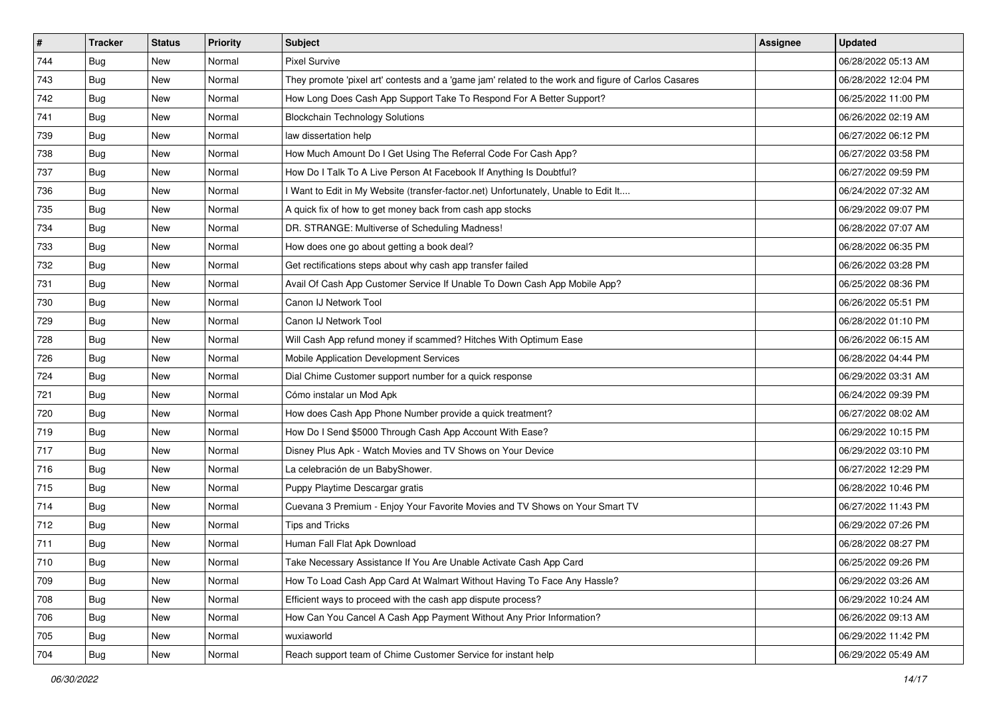| $\vert$ # | <b>Tracker</b> | <b>Status</b> | Priority | <b>Subject</b>                                                                                      | <b>Assignee</b> | <b>Updated</b>      |
|-----------|----------------|---------------|----------|-----------------------------------------------------------------------------------------------------|-----------------|---------------------|
| 744       | Bug            | New           | Normal   | <b>Pixel Survive</b>                                                                                |                 | 06/28/2022 05:13 AM |
| 743       | <b>Bug</b>     | New           | Normal   | They promote 'pixel art' contests and a 'game jam' related to the work and figure of Carlos Casares |                 | 06/28/2022 12:04 PM |
| 742       | <b>Bug</b>     | New           | Normal   | How Long Does Cash App Support Take To Respond For A Better Support?                                |                 | 06/25/2022 11:00 PM |
| 741       | <b>Bug</b>     | New           | Normal   | <b>Blockchain Technology Solutions</b>                                                              |                 | 06/26/2022 02:19 AM |
| 739       | <b>Bug</b>     | New           | Normal   | law dissertation help                                                                               |                 | 06/27/2022 06:12 PM |
| 738       | <b>Bug</b>     | New           | Normal   | How Much Amount Do I Get Using The Referral Code For Cash App?                                      |                 | 06/27/2022 03:58 PM |
| 737       | Bug            | New           | Normal   | How Do I Talk To A Live Person At Facebook If Anything Is Doubtful?                                 |                 | 06/27/2022 09:59 PM |
| 736       | <b>Bug</b>     | New           | Normal   | I Want to Edit in My Website (transfer-factor.net) Unfortunately, Unable to Edit It                 |                 | 06/24/2022 07:32 AM |
| 735       | <b>Bug</b>     | New           | Normal   | A quick fix of how to get money back from cash app stocks                                           |                 | 06/29/2022 09:07 PM |
| 734       | Bug            | New           | Normal   | DR. STRANGE: Multiverse of Scheduling Madness!                                                      |                 | 06/28/2022 07:07 AM |
| 733       | <b>Bug</b>     | New           | Normal   | How does one go about getting a book deal?                                                          |                 | 06/28/2022 06:35 PM |
| 732       | Bug            | New           | Normal   | Get rectifications steps about why cash app transfer failed                                         |                 | 06/26/2022 03:28 PM |
| 731       | <b>Bug</b>     | New           | Normal   | Avail Of Cash App Customer Service If Unable To Down Cash App Mobile App?                           |                 | 06/25/2022 08:36 PM |
| 730       | <b>Bug</b>     | New           | Normal   | Canon IJ Network Tool                                                                               |                 | 06/26/2022 05:51 PM |
| 729       | <b>Bug</b>     | New           | Normal   | Canon IJ Network Tool                                                                               |                 | 06/28/2022 01:10 PM |
| 728       | <b>Bug</b>     | New           | Normal   | Will Cash App refund money if scammed? Hitches With Optimum Ease                                    |                 | 06/26/2022 06:15 AM |
| 726       | <b>Bug</b>     | New           | Normal   | Mobile Application Development Services                                                             |                 | 06/28/2022 04:44 PM |
| 724       | Bug            | New           | Normal   | Dial Chime Customer support number for a quick response                                             |                 | 06/29/2022 03:31 AM |
| 721       | <b>Bug</b>     | New           | Normal   | Cómo instalar un Mod Apk                                                                            |                 | 06/24/2022 09:39 PM |
| 720       | <b>Bug</b>     | New           | Normal   | How does Cash App Phone Number provide a quick treatment?                                           |                 | 06/27/2022 08:02 AM |
| 719       | Bug            | New           | Normal   | How Do I Send \$5000 Through Cash App Account With Ease?                                            |                 | 06/29/2022 10:15 PM |
| 717       | <b>Bug</b>     | New           | Normal   | Disney Plus Apk - Watch Movies and TV Shows on Your Device                                          |                 | 06/29/2022 03:10 PM |
| 716       | Bug            | New           | Normal   | La celebración de un BabyShower.                                                                    |                 | 06/27/2022 12:29 PM |
| 715       | <b>Bug</b>     | New           | Normal   | Puppy Playtime Descargar gratis                                                                     |                 | 06/28/2022 10:46 PM |
| 714       | <b>Bug</b>     | New           | Normal   | Cuevana 3 Premium - Enjoy Your Favorite Movies and TV Shows on Your Smart TV                        |                 | 06/27/2022 11:43 PM |
| 712       | Bug            | New           | Normal   | Tips and Tricks                                                                                     |                 | 06/29/2022 07:26 PM |
| 711       | <b>Bug</b>     | New           | Normal   | Human Fall Flat Apk Download                                                                        |                 | 06/28/2022 08:27 PM |
| 710       | I Bug          | New           | Normal   | Take Necessary Assistance If You Are Unable Activate Cash App Card                                  |                 | 06/25/2022 09:26 PM |
| 709       | Bug            | New           | Normal   | How To Load Cash App Card At Walmart Without Having To Face Any Hassle?                             |                 | 06/29/2022 03:26 AM |
| 708       | Bug            | New           | Normal   | Efficient ways to proceed with the cash app dispute process?                                        |                 | 06/29/2022 10:24 AM |
| 706       | <b>Bug</b>     | New           | Normal   | How Can You Cancel A Cash App Payment Without Any Prior Information?                                |                 | 06/26/2022 09:13 AM |
| 705       | Bug            | New           | Normal   | wuxiaworld                                                                                          |                 | 06/29/2022 11:42 PM |
| 704       | <b>Bug</b>     | New           | Normal   | Reach support team of Chime Customer Service for instant help                                       |                 | 06/29/2022 05:49 AM |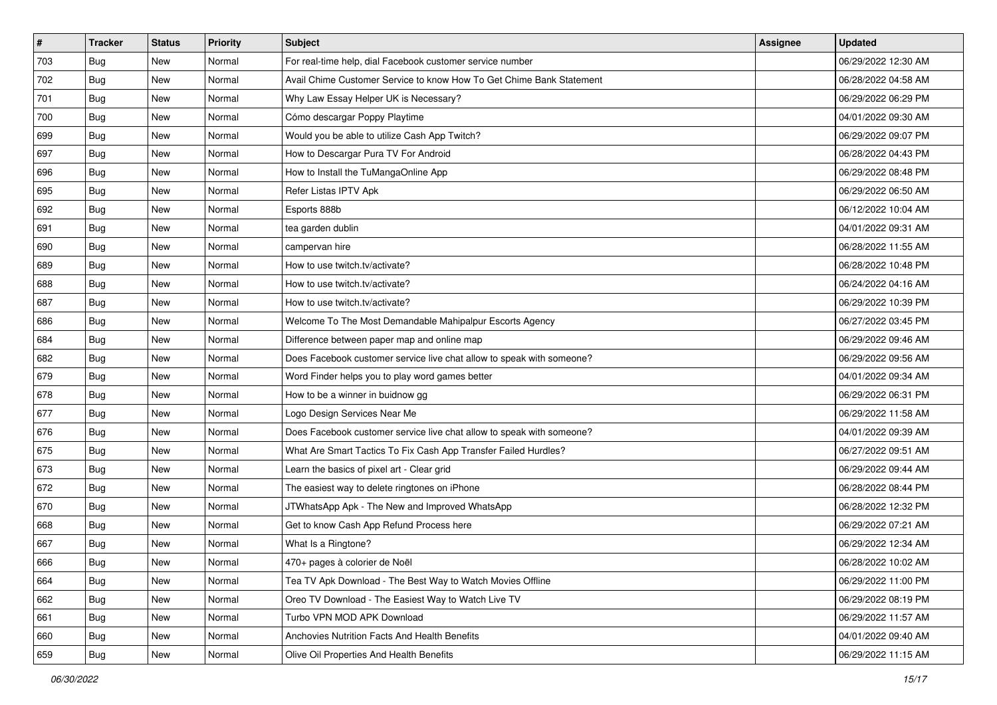| $\sharp$ | <b>Tracker</b> | <b>Status</b> | <b>Priority</b> | Subject                                                               | <b>Assignee</b> | <b>Updated</b>      |
|----------|----------------|---------------|-----------------|-----------------------------------------------------------------------|-----------------|---------------------|
| 703      | <b>Bug</b>     | New           | Normal          | For real-time help, dial Facebook customer service number             |                 | 06/29/2022 12:30 AM |
| 702      | <b>Bug</b>     | New           | Normal          | Avail Chime Customer Service to know How To Get Chime Bank Statement  |                 | 06/28/2022 04:58 AM |
| 701      | Bug            | New           | Normal          | Why Law Essay Helper UK is Necessary?                                 |                 | 06/29/2022 06:29 PM |
| 700      | Bug            | New           | Normal          | Cómo descargar Poppy Playtime                                         |                 | 04/01/2022 09:30 AM |
| 699      | Bug            | New           | Normal          | Would you be able to utilize Cash App Twitch?                         |                 | 06/29/2022 09:07 PM |
| 697      | <b>Bug</b>     | New           | Normal          | How to Descargar Pura TV For Android                                  |                 | 06/28/2022 04:43 PM |
| 696      | Bug            | New           | Normal          | How to Install the TuMangaOnline App                                  |                 | 06/29/2022 08:48 PM |
| 695      | <b>Bug</b>     | New           | Normal          | Refer Listas IPTV Apk                                                 |                 | 06/29/2022 06:50 AM |
| 692      | Bug            | New           | Normal          | Esports 888b                                                          |                 | 06/12/2022 10:04 AM |
| 691      | Bug            | New           | Normal          | tea garden dublin                                                     |                 | 04/01/2022 09:31 AM |
| 690      | <b>Bug</b>     | New           | Normal          | campervan hire                                                        |                 | 06/28/2022 11:55 AM |
| 689      | Bug            | New           | Normal          | How to use twitch.tv/activate?                                        |                 | 06/28/2022 10:48 PM |
| 688      | Bug            | New           | Normal          | How to use twitch.tv/activate?                                        |                 | 06/24/2022 04:16 AM |
| 687      | Bug            | New           | Normal          | How to use twitch.tv/activate?                                        |                 | 06/29/2022 10:39 PM |
| 686      | Bug            | New           | Normal          | Welcome To The Most Demandable Mahipalpur Escorts Agency              |                 | 06/27/2022 03:45 PM |
| 684      | Bug            | New           | Normal          | Difference between paper map and online map                           |                 | 06/29/2022 09:46 AM |
| 682      | Bug            | New           | Normal          | Does Facebook customer service live chat allow to speak with someone? |                 | 06/29/2022 09:56 AM |
| 679      | Bug            | New           | Normal          | Word Finder helps you to play word games better                       |                 | 04/01/2022 09:34 AM |
| 678      | Bug            | New           | Normal          | How to be a winner in buidnow gg                                      |                 | 06/29/2022 06:31 PM |
| 677      | Bug            | New           | Normal          | Logo Design Services Near Me                                          |                 | 06/29/2022 11:58 AM |
| 676      | Bug            | New           | Normal          | Does Facebook customer service live chat allow to speak with someone? |                 | 04/01/2022 09:39 AM |
| 675      | Bug            | New           | Normal          | What Are Smart Tactics To Fix Cash App Transfer Failed Hurdles?       |                 | 06/27/2022 09:51 AM |
| 673      | Bug            | New           | Normal          | Learn the basics of pixel art - Clear grid                            |                 | 06/29/2022 09:44 AM |
| 672      | <b>Bug</b>     | New           | Normal          | The easiest way to delete ringtones on iPhone                         |                 | 06/28/2022 08:44 PM |
| 670      | Bug            | New           | Normal          | JTWhatsApp Apk - The New and Improved WhatsApp                        |                 | 06/28/2022 12:32 PM |
| 668      | Bug            | New           | Normal          | Get to know Cash App Refund Process here                              |                 | 06/29/2022 07:21 AM |
| 667      | <b>Bug</b>     | New           | Normal          | What Is a Ringtone?                                                   |                 | 06/29/2022 12:34 AM |
| 666      | I Bug          | New           | Normal          | 470+ pages à colorier de Noël                                         |                 | 06/28/2022 10:02 AM |
| 664      | <b>Bug</b>     | New           | Normal          | Tea TV Apk Download - The Best Way to Watch Movies Offline            |                 | 06/29/2022 11:00 PM |
| 662      | Bug            | New           | Normal          | Oreo TV Download - The Easiest Way to Watch Live TV                   |                 | 06/29/2022 08:19 PM |
| 661      | <b>Bug</b>     | New           | Normal          | Turbo VPN MOD APK Download                                            |                 | 06/29/2022 11:57 AM |
| 660      | Bug            | New           | Normal          | <b>Anchovies Nutrition Facts And Health Benefits</b>                  |                 | 04/01/2022 09:40 AM |
| 659      | Bug            | New           | Normal          | Olive Oil Properties And Health Benefits                              |                 | 06/29/2022 11:15 AM |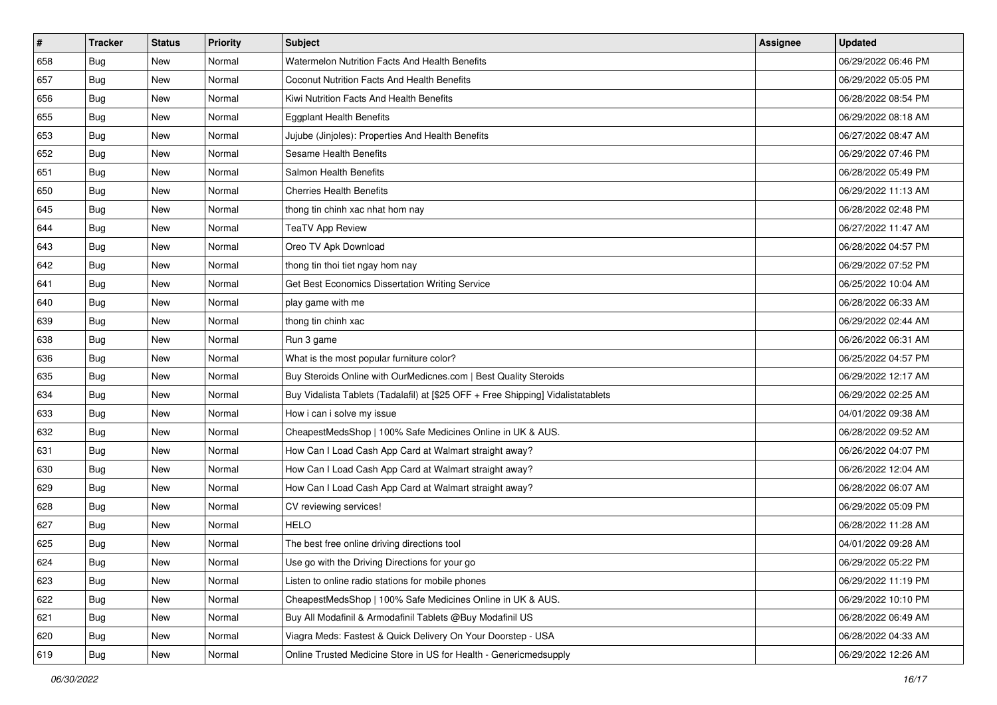| #   | <b>Tracker</b> | <b>Status</b> | Priority | Subject                                                                          | <b>Assignee</b> | <b>Updated</b>      |
|-----|----------------|---------------|----------|----------------------------------------------------------------------------------|-----------------|---------------------|
| 658 | Bug            | New           | Normal   | Watermelon Nutrition Facts And Health Benefits                                   |                 | 06/29/2022 06:46 PM |
| 657 | Bug            | New           | Normal   | Coconut Nutrition Facts And Health Benefits                                      |                 | 06/29/2022 05:05 PM |
| 656 | Bug            | New           | Normal   | Kiwi Nutrition Facts And Health Benefits                                         |                 | 06/28/2022 08:54 PM |
| 655 | Bug            | New           | Normal   | <b>Eggplant Health Benefits</b>                                                  |                 | 06/29/2022 08:18 AM |
| 653 | Bug            | New           | Normal   | Jujube (Jinjoles): Properties And Health Benefits                                |                 | 06/27/2022 08:47 AM |
| 652 | Bug            | New           | Normal   | Sesame Health Benefits                                                           |                 | 06/29/2022 07:46 PM |
| 651 | Bug            | New           | Normal   | Salmon Health Benefits                                                           |                 | 06/28/2022 05:49 PM |
| 650 | <b>Bug</b>     | New           | Normal   | <b>Cherries Health Benefits</b>                                                  |                 | 06/29/2022 11:13 AM |
| 645 | Bug            | New           | Normal   | thong tin chinh xac nhat hom nay                                                 |                 | 06/28/2022 02:48 PM |
| 644 | Bug            | New           | Normal   | <b>TeaTV App Review</b>                                                          |                 | 06/27/2022 11:47 AM |
| 643 | <b>Bug</b>     | New           | Normal   | Oreo TV Apk Download                                                             |                 | 06/28/2022 04:57 PM |
| 642 | Bug            | New           | Normal   | thong tin thoi tiet ngay hom nay                                                 |                 | 06/29/2022 07:52 PM |
| 641 | Bug            | New           | Normal   | Get Best Economics Dissertation Writing Service                                  |                 | 06/25/2022 10:04 AM |
| 640 | <b>Bug</b>     | New           | Normal   | play game with me                                                                |                 | 06/28/2022 06:33 AM |
| 639 | Bug            | New           | Normal   | thong tin chinh xac                                                              |                 | 06/29/2022 02:44 AM |
| 638 | <b>Bug</b>     | New           | Normal   | Run 3 game                                                                       |                 | 06/26/2022 06:31 AM |
| 636 | Bug            | New           | Normal   | What is the most popular furniture color?                                        |                 | 06/25/2022 04:57 PM |
| 635 | Bug            | New           | Normal   | Buy Steroids Online with OurMedicnes.com   Best Quality Steroids                 |                 | 06/29/2022 12:17 AM |
| 634 | Bug            | New           | Normal   | Buy Vidalista Tablets (Tadalafil) at [\$25 OFF + Free Shipping] Vidalistatablets |                 | 06/29/2022 02:25 AM |
| 633 | <b>Bug</b>     | New           | Normal   | How i can i solve my issue                                                       |                 | 04/01/2022 09:38 AM |
| 632 | Bug            | New           | Normal   | CheapestMedsShop   100% Safe Medicines Online in UK & AUS.                       |                 | 06/28/2022 09:52 AM |
| 631 | Bug            | New           | Normal   | How Can I Load Cash App Card at Walmart straight away?                           |                 | 06/26/2022 04:07 PM |
| 630 | Bug            | New           | Normal   | How Can I Load Cash App Card at Walmart straight away?                           |                 | 06/26/2022 12:04 AM |
| 629 | <b>Bug</b>     | New           | Normal   | How Can I Load Cash App Card at Walmart straight away?                           |                 | 06/28/2022 06:07 AM |
| 628 | <b>Bug</b>     | New           | Normal   | CV reviewing services!                                                           |                 | 06/29/2022 05:09 PM |
| 627 | Bug            | New           | Normal   | <b>HELO</b>                                                                      |                 | 06/28/2022 11:28 AM |
| 625 | <b>Bug</b>     | New           | Normal   | The best free online driving directions tool                                     |                 | 04/01/2022 09:28 AM |
| 624 | I Bug          | New           | Normal   | Use go with the Driving Directions for your go                                   |                 | 06/29/2022 05:22 PM |
| 623 | <b>Bug</b>     | New           | Normal   | Listen to online radio stations for mobile phones                                |                 | 06/29/2022 11:19 PM |
| 622 | <b>Bug</b>     | New           | Normal   | CheapestMedsShop   100% Safe Medicines Online in UK & AUS.                       |                 | 06/29/2022 10:10 PM |
| 621 | Bug            | New           | Normal   | Buy All Modafinil & Armodafinil Tablets @Buy Modafinil US                        |                 | 06/28/2022 06:49 AM |
| 620 | <b>Bug</b>     | New           | Normal   | Viagra Meds: Fastest & Quick Delivery On Your Doorstep - USA                     |                 | 06/28/2022 04:33 AM |
| 619 | <b>Bug</b>     | New           | Normal   | Online Trusted Medicine Store in US for Health - Genericmedsupply                |                 | 06/29/2022 12:26 AM |